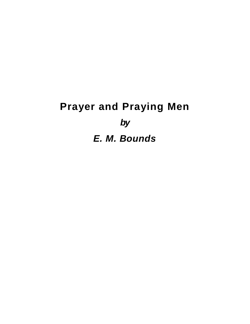# **Prayer and Praying Men** *by E. M. Bounds*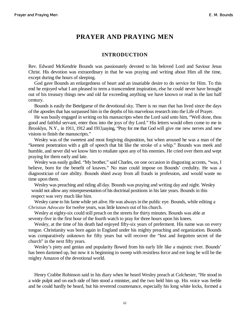### **PRAYER AND PRAYING MEN**

#### **INTRODUCTION**

Rev. Edward McKendrie Bounds was passionately devoted to his beloved Lord and Saviour Jesus Christ. His devotion was extraordinary in that he was praying and writing about Him all the time, except during the hours of sleeping.

God gave Bounds an enlargedness of heart and an insatiable desire to do service for Him. To this end he enjoyed what I am pleased to term a transcendent inspiration, else he could never have brought out of his treasury things new and old far exceeding anything we have known or read in the last half century.

Bounds is easily the Betelguese of the devotional sky. There is no man that has lived since the days of the apostles that has surpassed him in the depths of his marvelous research into the Life of Prayer.

He was busily engaged in writing on his manuscripts when the Lord said unto him, "Well done, thou good and faithful servant, enter thou into the joys of thy Lord." His letters would often come to me in Brooklyn, N.Y., in 1911, 1912 and 1913, saying, 'Pray for me that God will give me new nerves and new visions to finish the manuscripts."

Wesley was of the sweetest and most forgiving disposition, but when aroused he was a man of the "keenest penetration with a gift of speech that bit like the stroke of a whip." Bounds was meek and humble, and never did we know him to retaliate upon any of his enemies. He cried over them and wept praying for them early and late.

Wesley was easily gulled. "My brother," said Charles, on one occasion in disgusting accents, "was, I believe, born for the benefit of knaves." No man could impose on Bounds' credulity. He was a diagnostician of rare ability. Bounds shied away from all frauds in profession, and would waste no time upon them.

Wesley was preaching and riding all day. Bounds was praying and writing day and night. Wesley would not allow any misrepresentation of his doctrinal positions in his late years. Bounds in this respect was very much like him.

Wesley came to his fame while yet alive. He was always in the public eye. Bounds, while editing a *Christian Advocate* for twelve years, was little known out of his church.

Wesley at eighty-six could still preach on the streets for thirty minutes. Bounds was able at seventy-five in the first hour of the fourth watch to pray for three hours upon his knees.

Wesley, at the time of his death had enjoyed fifty-six years of preferment. His name was on every tongue. Christianity was born again in England under his mighty preaching and organization. Bounds was comparatively unknown for fifty years but will recover the "lost and forgotten secret of the church" in the next fifty years.

Wesley's piety and genius and popularity flowed from his early life like a majestic river. Bounds' has been dammed up, but now it is beginning to sweep with resistless force and ere long he will be the mighty Amazon of the devotional world.

Henry Crabbe Robinson said in his diary when he heard Wesley preach at Colchester, "He stood in a wide pulpit and on each side of him stood a minister, and the two held him up. His voice was feeble and he could hardly be heard, but his reverend countenance, especially his long white locks, formed a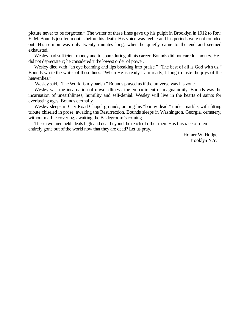picture never to be forgotten." The writer of these lines gave up his pulpit in Brooklyn in 1912 to Rev. E. M. Bounds just ten months before his death. His voice was feeble and his periods were not rounded out. His sermon was only twenty minutes long, when he quietly came to the end and seemed exhausted.

Wesley had sufficient money and to spare during all his career. Bounds did not care for money. He did not depreciate it; he considered it the lowest order of power.

Wesley died with "an eye beaming and lips breaking into praise." "The best of all is God with us," Bounds wrote the writer of these lines. "When He is ready I am ready; I long to taste the joys of the heavenlies."

Wesley said, "The World is my parish." Bounds prayed as if the universe was his zone.

Wesley was the incarnation of unworldliness, the embodiment of magnanimity. Bounds was the incarnation of unearthliness, humility and self-denial. Wesley will live in the hearts of saints for everlasting ages. Bounds eternally.

Wesley sleeps in City Road Chapel grounds, among his "bonny dead," under marble, with fitting tribute chiseled in prose, awaiting the Resurrection. Bounds sleeps in Washington, Georgia, cemetery, without marble covering, awaiting the Bridegroom's coming.

These two men held ideals high and dear beyond the reach of other men. Has this race of men entirely gone out of the world now that they are dead? Let us pray.

> Homer W. Hodge Brooklyn N.Y.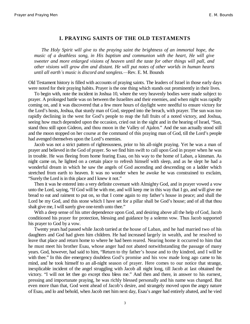#### **I. PRAYING SAINTS OF THE OLD TESTAMENTS**

*The Holy Spirit will give to the praying saint the brightness of an immortal hope, the music of a deathless song, in His baptism and communion with the heart, He will give sweeter and more enlarged visions of heaven until the taste for other things will pall, and other visions will grow dim and distant. He will put notes of other worlds in human hearts until all earth's music is discord and songless.*—Rev. E. M. Bounds

Old Testament history is filled with accounts of praying saints. The leaders of Israel in those early days were noted for their praying habits. Prayer is the one thing which stands out prominently in their lives.

To begin with, note the incident in Joshua 10, where the very heavenly bodies were made subject to prayer. A prolonged battle was on between the Israelites and their enemies, and when night was rapidly coming on, and it was discovered that a few more hours of daylight were needful to ensure victory for the Lord's hosts, Joshua, that sturdy man of God, stepped into the breach, with prayer. The sun was too rapidly declining in the west for God's people to reap the full fruits of a noted victory, and Joshua, seeing how much depended upon the occasion, cried out in the sight and in the hearing of Israel, "Sun, stand thou still upon Gideon, and thou moon in the Valley of Ajalon." And the sun actually stood still and the moon stopped on her course at the command of this praying man of God, till the Lord's people had avenged themselves upon the Lord's enemies.

Jacob was not a strict pattern of righteousness, prior to his all-night praying. Yet he was a man of prayer and believed in the God of prayer. So we find him swift to call upon God in prayer when he was in trouble. He was fleeing from home fearing Esau, on his way to the home of Laban, a kinsman. As night came on, he lighted on a certain place to refresh himself with sleep, and as he slept he had a wonderful dream in which he saw the angels of God ascending and descending on a ladder which stretched from earth to heaven. It was no wonder when he awoke he was constrained to exclaim, "Surely the Lord is in this place and I knew it not."

Then it was he entered into a very definite covenant with Almighty God, and in prayer vowed a vow unto the Lord, saying, "If God will be with me, and will keep me in this way that I go, and will give me bread to eat and raiment to put on, so that I come again to my father's house in peace; and shall the Lord be my God, and this stone which I have set for a pillar shall be God's house; and of all that thou shalt give me, I will surely give one-tenth unto thee."

With a deep sense of his utter dependence upon God, and desiring above all the help of God, Jacob conditioned his prayer for protection, blessing and guidance by a solemn vow. Thus Jacob supported his prayer to God by a vow.

Twenty years had passed while Jacob tarried at the house of Laban, and he had married two of his daughters and God had given him children. He had increased largely in wealth, and he resolved to leave that place and return home to where he had been reared. Nearing home it occurred to him that he must meet his brother Esau, whose anger had not abated notwithstanding the passage of many years. God, however, had said to him, "Return to thy father's house and to thy kindred, and I will be with thee." In this dire emergency doubtless God's promise and his vow made long ago came to his mind, and he took himself to an all-night season of prayer. Here comes to our notice that strange, inexplicable incident of the angel struggling with Jacob all night long, till Jacob at last obtained the victory. "I will not let thee go except thou bless me." And then and there, in answer to his earnest, pressing and importunate praying, he was richly blessed personally and his name was changed. But even more than that, God went ahead of Jacob's desire, and strangely moved upon the angry nature of Esau, and lo and behold, when Jacob met him next day, Esau's anger had entirely abated, and he vied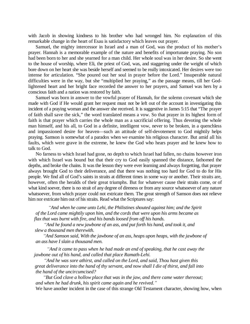with Jacob in showing kindness to his brother who had wronged him. No explanation of this remarkable change in the heart of Esau is satisfactory which leaves out prayer.

Samuel, the mighty intercessor in Israel and a man of God, was the product of his mother's prayer. Hannah is a memorable example of the nature and benefits of importunate praying. No son had been born to her and she yearned for a man child. Her whole soul was in her desire. So she went to the house of worship, where Eli, the priest of God, was, and staggering under the weight of which bore down on her heart she was beside herself and seemed to be really intoxicated. Her desires were too intense for articulation. "She poured out her soul in prayer before the Lord." Insuperable natural difficulties were in the way, but she "multiplied her praying," as the passage means, till her Godlightened heart and her bright face recorded the answer to her prayers, and Samuel was hers by a conscious faith and a nation was restored by faith.

Samuel was born in answer to the vowful prayer of Hannah, for the solemn covenant which she made with God if He would grant her request must not be left out of the account in investigating this incident of a praying woman and the answer she received. It is suggestive in James 5:15 that "The prayer of faith shall save the sick," the word translated means a vow. So that prayer in its highest form of faith is that prayer which carries the whole man as a sacrificial offering. Thus devoting the whole man himself, and his all, to God in a definite, intelligent vow, never to be broken, in a quenchless and impassioned desire for heaven—such an attitude of self-devotement to God mightily helps praying. Samson is somewhat of a paradox when we examine his religious character. But amid all his faults, which were grave in the extreme, he knew the God who hears prayer and he knew how to talk to God.

No farness to which Israel had gone, no depth to which Israel had fallen, no chains however iron with which Israel was bound but that their cry to God easily spanned the distance, fathomed the depths, and broke the chains. It was the lesson they were ever learning and always forgetting, that prayer always brought God to their deliverance, and that there was nothing too hard for God to do for His people. We find all of God's saints in straits at different times in some way or another. Their straits are, however, often the heralds of their great triumphs. But for whatever cause their straits come, or of what kind soever, there is no strait of any degree of direness or from any source whatsoever of any nature whatsoever, from which prayer could not extricate them. The great strength of Samson does not relieve him nor extricate him out of his straits. Read what the Scriptures say:

*³And when he came unto Lehi, the Philistines shouted against him; and the Spirit of the Lord came mightily upon him, and the cords that were upon his arms became as flax that was burnt with fire, and his bands loosed from off his hands.*

*³And he found a new jawbone of an ass, and put forth his hand, and took it, and slew a thousand men therewith.*

*³And Samson said, With the jawbone of an ass, heaps upon heaps, with the jawbone of an ass have I slain a thousand men.*

*³And it came to pass when he had made an end of speaking, that he cast away the jawbone out of his hand, and called that place Ramath-Lehi.*

*³And he was sore athirst, and called on the Lord, and said, Thou hast given this great deliverance into the hand of thy servant, and now shall I die of thirst, and fall into the hand of the uncircumcised?*

*³But God clave a hollow place that was in the jaw, and there came water thereout; and when he had drunk, his spirit came again and he revived.´*

We have another incident in the case of this strange Old Testament character, showing how, when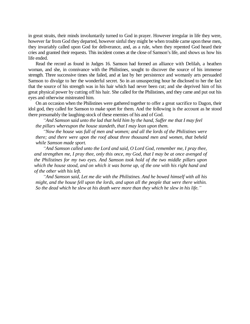in great straits, their minds involuntarily turned to God in prayer. However irregular in life they were, however far from God they departed, however sinful they might be when trouble came upon these men, they invariably called upon God for deliverance, and, as a rule, when they repented God heard their cries and granted their requests. This incident comes at the close of Samson's life, and shows us how his life ended.

Read the record as found in Judges 16. Samson had formed an alliance with Delilah, a heathen woman, and she, in connivance with the Philistines, sought to discover the source of his immense strength. Three successive times she failed, and at last by her persistence and womanly arts persuaded Samson to divulge to her the wonderful secret. So in an unsuspecting hour he disclosed to her the fact that the source of his strength was in his hair which had never been cut; and she deprived him of his great physical power by cutting off his hair. She called for the Philistines, and they came and put out his eyes and otherwise mistreated him.

On an occasion when the Philistines were gathered together to offer a great sacrifice to Dagon, their idol god, they called for Samson to make sport for them. And the following is the account as he stood there presumably the laughing-stock of these enemies of his and of God.

*³And Samson said unto the lad that held him by the hand, Suffer me that I may feel the pillars whereupon the house standeth, that I may lean upon them.*

*³Now the house was full of men and women; and all the lords of the Philistines were there; and there were upon the roof about three thousand men and women, that beheld while Samson made sport.*

*³And Samson called unto the Lord and said, O Lord God, remember me, I pray thee, and strengthen me, I pray thee, only this once, my God, that I may be at once avenged of the Philistines for my two eyes. And Samson took hold of the two middle pillars upon which the house stood, and on which it was borne up, of the one with his right hand and of the other with his left.*

*³And Samson said, Let me die with the Philistines. And he bowed himself with all his might, and the house fell upon the lords, and upon all the people that were there within. So the dead which he slew at his death were more than they which he slew in his life.´*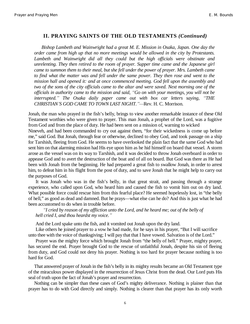#### **II. PRAYING SAINTS OF THE OLD TESTAMENTS** *(Continued)*

*Bishop Lambeth and Wainwright had a great M. E. Mission in Osaka, Japan. One day the order came from high up that no more meetings would be allowed in the city by Protestants. Lambeth and Wainwright did all they could but the high officials were obstinate and unrelenting. They then retired to the room of prayer. Supper time came and the Japanese girl came to summon them to their meal, but she fell under the power of prayer. Mrs. Lambeth came to find what the matter was and fell under the same power. They then rose and went to the mission hall and opened it: and at once commenced meeting. God fell upon the assembly and two of the sons of the city officials came to the altar and were saved. Next morning one of the officials in authority came to the mission and said, ³Go on with your meetings, you will not be interrupted.*<sup> $\alpha$ *</sup> The Osaka daily paper came out with box car letters saying, "THE*</sup> *CHRISTIAN*<sup>*'S GOD CAME TO TOWN LAST NIGHT*.<sup>*"*</sup>—Rev. H. C. Morrison.</sup>

Jonah, the man who prayed in the fish's belly, brings to view another remarkable instance of these Old Testament worthies who were given to prayer. This man Jonah, a prophet of the Lord, was a fugitive from God and from the place of duty. He had been sent on a mission of, warning to wicked

Nineveh, and had been commanded to cry out against them, "for their wickedness is come up before me," said God. But Jonah, through fear or otherwise, declined to obey God, and took passage on a ship for Tarshish, fleeing from God. He seems to have overlooked the plain fact that the same God who had sent him on that alarming mission had His eye upon him as he hid himself on board that vessel. A storm arose as the vessel was on its way to Tarshish, and it was decided to throw Jonah overboard in order to appease God and to avert the destruction of the boat and of all on board. But God was there as He had been with Jonah from the beginning. He had prepared a great fish to swallow Jonah, in order to arrest him, to defeat him in his flight from the post of duty, and to save Jonah that he might help to carry out the purposes of God.

It was Jonah who was in the fish's belly, in that great strait, and passing through a strange experience, who called upon God, who heard him and caused the fish to vomit him out on dry land. What possible force could rescue him from this fearful place? He seemed hopelessly lost, in "the belly of hell," as good as dead and damned. But he prays—what else can he do? And this is just what he had been accustomed to do when in trouble before.

*³I cried by reason of my affliction unto the Lord, and he heard me; out of the belly of hell cried I, and thou heardst my voice.´*

And the Lord spake unto the fish, and it vomited out Jonah upon the dry land.

Like others he joined prayer to a vow he had made, for he says in his prayer, "But I will sacrifice unto thee with the voice of thanksgiving; I will pay that that I have vowed. Salvation is of the Lord."

Prayer was the mighty force which brought Jonah from "the belly of hell." Prayer, mighty prayer, has secured the end. Prayer brought God to the rescue of unfaithful Jonah, despite his sin of fleeing from duty, and God could not deny his prayer. Nothing is too hard for prayer because nothing is too hard for God.

That answered prayer of Jonah in the fish's belly in its mighty results became an Old Testament type of the miraculous power displayed in the resurrection of Jesus Christ from the dead. Our Lord puts His seal of truth upon the fact of Jonah's prayer and resurrection.

Nothing can be simpler than these cases of God's mighty deliverance. Nothing is plainer than that prayer has to do with God directly and simply. Nothing is clearer than that prayer has its only worth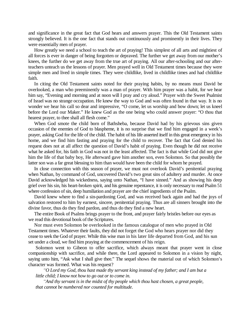and significance in the great fact that God hears and answers prayer. This the Old Testament saints strongly believed. It is the one fact that stands out continuously and prominently in their lives. They were essentially men of prayer.

How greatly we need a school to teach the art of praying! This simplest of all arts and mightiest of all forces is ever in danger of being forgotten or depraved. The further we get away from our mother's knees, the further do we get away from the true art of praying. All our after-schooling and our afterteachers unteach us the lessons of prayer. Men prayed well in Old Testament times because they were simple men and lived in simple times. They were childlike, lived in childlike times and had childlike faith.

In citing the Old Testament saints noted for their praying habits, by no means must David be overlooked, a man who preeminently was a man of prayer. With him prayer was a habit, for we hear him say, "Evening and morning and at noon will I pray and cry aloud." Prayer with the Sweet Psalmist of Israel was no strange occupation. He knew the way to God and was often found in that way. It is no wonder we hear his call so dear and impressive, "O come, let us worship and bow down; let us kneel before the Lord our Maker." He knew God as the one being who could answer prayer: "O thou that hearest prayer, to thee shall all flesh come."

When God smote the child born of Bathsheba, because David had by his grievous sins given occasion of the enemies of God to blaspheme, it is no surprise that we find him engaged in a week's prayer, asking God for the life of the child. The habit of his life asserted itself in this great emergency in his home, and we find him fasting and praying for the child to recover. The fact that God denied his request does not at all affect the question of David's habit of praying. Even though he did not receive what he asked for, his faith in God was not in the least affected. The fact is that while God did not give him the life of that baby boy, He afterward gave him another son, even Solomon. So that possibly the latter son was a far great blessing to him than would have been the child for whom he prayed.

In close connection with this season of prayer, we must not overlook David's penitential praying when Nathan, by command of God, uncovered David's two great sins of adultery and murder. At once David acknowledged his wickedness, saying unto Nathan, "I have sinned." And as showing his deep grief over his sin, his heart-broken spirit, and his genuine repentance, it is only necessary to read Psalm 51 where confession of sin, deep humiliation and prayer are the chief ingredients of the Psalm.

David knew where to find a sin-pardoning God, and was received back again and had the joys of salvation restored to him by earnest, sincere, penitential praying. Thus are all sinners brought into the divine favor, thus do they find pardon, and thus do they find a new heart.

The entire Book of Psalms brings prayer to the front, and prayer fairly bristles before our eyes as we read this devotional book of the Scriptures.

Nor must even Solomon be overlooked in the famous catalogue of men who prayed in Old Testament times. Whatever their faults, they did not forget the God who hears prayer nor did they cease to seek the God of prayer. While this wise man in his later life departed from God, and his sun set under a cloud, we find him praying at the commencement of his reign.

Solomon went to Gibeon to offer sacrifice, which always meant that prayer went in close companionship with sacrifice, and while there, the Lord appeared to Solomon in a vision by night, saying unto him, "Ask what I shall give thee." The sequel shows the material out of which Solomon's character was formed. What was his request?

*³O Lord my God, thou hast made thy servant king instead of my father; and I am but a little child; I know not how to go out or to come in.*

*³And thy servant is in the midst of thy people which thou hast chosen, a great people, that cannot be numbered nor counted for multitude.*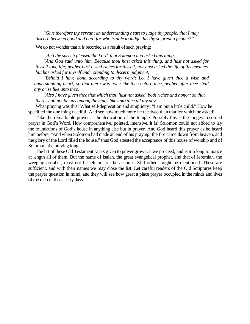*³Give therefore thy servant an understanding heart to judge thy people, that I may discern between good and bad; for who is able to judge this thy so great a people?´*

We do not wonder that it is recorded as a result of such praying:

*³And the speech pleased the Lord, that Solomon had asked this thing.*

*³And God said unto him, Because thou hast asked this thing, and hast not asked for thyself long life; neither hast asked riches for thyself, nor hast asked the life of thy enemies, but has asked for thyself understanding to discern judgment;*

*³Behold I have done according to thy word; Lo, I have given thee a wise and understanding heart; so that there was none like thee before thee, neither after thee shall any arise like unto thee.*

*³Also I have given thee that which thou hast not asked, both riches and honor; so that there shall not be any among the kings like unto thee all thy days.´*

What praying was this! What self-deprecation and simplicity! "I am but a little child." How he specified the one thing needful! And see how much more he received than that for which he asked!

Take the remarkable prayer at the dedication of the temple. Possibly this is the longest recorded prayer in God's Word. How comprehensive, pointed, intensive, it is! Solomon could not afford to lay the foundations of God's house in anything else but in prayer. And God heard this prayer as he heard him before, "And when Solomon had made an end of his praying, the fire came down from heaven, and the glory of the Lord filled the house," thus God attested the acceptance of this house of worship and of Solomon, the praying king.

The list of these Old Testament saints given to prayer grows as we proceed, and is too long to notice at length all of them. But the name of Isaiah, the great evangelical prophet, and that of Jeremiah, the weeping prophet, must not be left out of the account. Still others might be mentioned. These are sufficient, and with their names we may close the list. Let careful readers of the Old Scriptures keep the prayer question in mind, and they will see how great a place prayer occupied in the minds and lives of the men of those early days.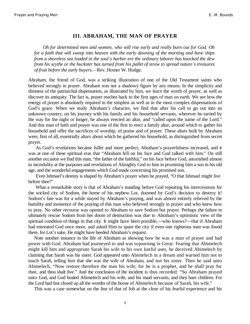#### **III. ABRAHAM, THE MAN OF PRAYER**

*Oh for determined men and women, who will rise early and really burn out for God. Oh for a faith that will sweep into heaven with the early dawning of the morning and have ships from a shoreless sea loaded in the soul¶s harbor ere the ordinary laborer has knocked the dew from his scythe or the huckster has turned from his pallet of straw to spread nature's treasures of fruit before the early buyers.²*Rev. Homer W. Hodge.

Abraham, the friend of God, was a striking illustration of one of the Old Testament saints who believed strongly in prayer. Abraham was not a shadowy figure by any means. In the simplicity and dimness of the patriarchal dispensation, as illustrated by him, we learn the worth of prayer, as well as discover its antiquity. The fact is, prayer reaches back to the first ages of man on earth. We see how the energy of prayer is absolutely required in the simplest as well as in the most complex dispensations of God's grace. When we study Abraham's character, we find that after his call to go out into an unknown country, on his journey with his family and his household servants, wherever he tarried by the way for the night or longer, he always erected an altar, and "called upon the name of the Lord." And this man of faith and prayer was one of the first to erect a family altar, around which to gather his household and offer the sacrifices of worship, of praise and of prayer. These altars built by Abraham were, first of all, essentially altars about which he gathered his household, as distinguished from secret prayer.

As God's revelations became fuller and more perfect, Abraham's prayerfulness increased, and it was at one of these spiritual eras that "Abraham fell on his face and God talked with him." On still another occasion we find this man, "the father of the faithful," on his face before God, astonished almost to incredulity at the purposes and revelations of Almighty God to him in promising him a son in his old age, and the wonderful engagements which God made concerning his promised son.

Even Ishmael's destiny is shaped by Abraham's prayer when he prayed, "O that Ishmael might live before thee!"

What a remarkable story is that of Abraham's standing before God repeating his intercessions for the wicked city of Sodom, the home of his nephew Lot, doomed by God's decision to destroy it! Sodom's fate was for a while stayed by Abraham's praying, and was almost entirely relieved by the humility and insistence of the praying of this man who believed strongly in prayer and who knew how to pray. No other recourse was opened to Abraham to save Sodom but prayer. Perhaps the failure to ultimately rescue Sodom from her doom of destruction was due to Abraham's optimistic view of the spiritual condition of things in that city. It might have been possible,—who knows?—that if Abraham had entreated God once more, and asked Him to spare the city if even one righteous man was found there, for Lot's sake, He might have heeded Abraham's request.

Note another instance in the life of Abraham as showing how he was a man of prayer and had power with God. Abraham had journeyed to and was sojourning in Gerar. Fearing that Abimelech might kill him and appropriate Sarah his wife to his own lustful uses, he deceived Abimelech by claiming that Sarah was his sister. God appeared unto Abimelech in a dream and warned him not to touch Sarah, telling him that she was the wife of Abraham, and not his sister. Then he said unto Abimelech, "Now restore therefore the man his wife; for he is a prophet, and he shall pray for thee, and thou shalt live." And the conclusion of the incident is thus recorded: "So Abraham prayed unto God, and God healed Abimelech and his wife, and his maid servants, and they bare children. For the Lord had fast closed up all the wombs of the house of Abimelech because of Sarah, his wife."

This was a case somewhat on the line of that of Job at the close of his fearful experience and his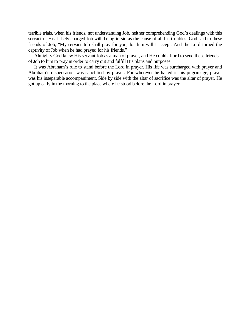terrible trials, when his friends, not understanding Job, neither comprehending God's dealings with this servant of His, falsely charged Job with being in sin as the cause of all his troubles. God said to these friends of Job, "My servant Job shall pray for you, for him will I accept. And the Lord turned the captivity of Job when he had prayed for his friends."

Almighty God knew His servant Job as a man of prayer, and He could afford to send these friends of Job to him to pray in order to carry out and fulfill His plans and purposes.

It was Abraham's rule to stand before the Lord in prayer. His life was surcharged with prayer and Abraham's dispensation was sanctified by prayer. For wherever he halted in his pilgrimage, prayer was his inseparable accompaniment. Side by side with the altar of sacrifice was the altar of prayer. He got up early in the morning to the place where he stood before the Lord in prayer.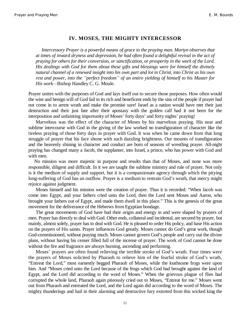#### **IV. MOSES, THE MIGHTY INTERCESSOR**

*Intercessory Prayer is a powerful means of grace to the praying man. Martyn observes that at times of inward dryness and depression, he had often found a delightful revival in the act of praying for others for their conversion, or sanctification, or prosperity in the work of the Lord. His dealings with God for them about these gifts and blessings were for himself the divinely natural channel of a renewed insight into his own part and lot in Christ, into Christ as his own rest and power, into the ³perfect freedom´ of an entire yielding of himself to his Master for His work*—Bishop Handley C. G. Moule.

Prayer unites with the purposes of God and lays itself out to secure those purposes. How often would the wise and benign will of God fail in its rich and beneficent ends by the sins of the people if prayer had not come in to arrest wrath and make the promise sure! Israel as a nation would have met their just destruction and their just fate after their apostasy with the golden calf had it not been for the interposition and unfainting importunity of Moses' forty days' and forty nights' praying!

Marvelous was the effect of the character of Moses by his marvelous praying. His near and sublime intercourse with God in the giving of the law worked no transfiguration of character like the tireless praying of those forty days in prayer with God. It was when he came down from that long struggle of prayer that his face shone with such dazzling brightness. Our mounts of transfiguration and the heavenly shining in character and conduct are born of seasons of wrestling prayer. All-night praying has changed many a Jacob, the supplanter, into Israel, a prince, who has power with God and with men.

No mission was more majestic in purpose and results than that of Moses, and none was more responsible, diligent and difficult. In it we are taught the sublime ministry and rule of prayer. Not only is it the medium of supply and support, but it is a compassionate agency through which the pitying long-suffering of God has an outflow. Prayer is a medium to restrain God's wrath, that mercy might rejoice against judgment.

Moses himself and his mission were the creation of prayer. Thus it is recorded: "When Jacob was come into Egypt, and your fathers cried unto the Lord, then the Lord sent Moses and Aaron, who brought your fathers out of Egypt, and made them dwell in this place." This is the genesis of the great movement for the deliverance of the Hebrews from Egyptian bondage.

The great movements of God have had their origin and energy in and were shaped by prayers of men. Prayer has directly to deal with God. Other ends, collateral and incidental, are secured by prayer, but mainly, almost solely, prayer has to deal with God. He is pleased to order His policy, and base His action on the prayers of His saints. Prayer influences God greatly. Moses cannot do God's great work, though God-commissioned, without praying much. Moses cannot govern God's people and carry out the divine plans, without having his censer filled full of the incense of prayer. The work of God cannot be done without the fire and fragrance are always burning, ascending and perfuming.

Moses' prayers are often found relieving the terrible stroke of God's wrath. Four times were the prayers of Moses solicited by Pharaoh to relieve him of the fearful stroke of God's wrath. "Entreat the Lord," most earnestly begged Pharaoh of Moses, while the loathsome frogs were upon him. And "Moses cried unto the Lord because of the frogs which God had brought against the land of Egypt, and the Lord did according to the word of Moses." When the grievous plague of flies had corrupted the whole land, Pharaoh again piteously cried out to Moses, "Entreat for me." Moses went out from Pharaoh and entreated the Lord, and the Lord again did according to the word of Moses. The mighty thunderings and hail in their alarming and destructive fury extorted from this wicked king the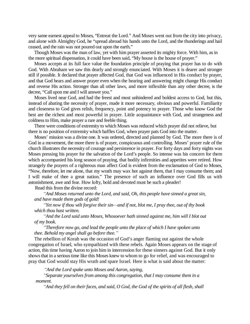very same earnest appeal to Moses, "Entreat the Lord." And Moses went out from the city into privacy, and alone with Almighty God, he "spread abroad his hands unto the Lord, and the thunderings and hail ceased, and the rain was not poured out upon the earth."

Though Moses was the man of law, yet with him prayer asserted its mighty force. With him, as in the more spiritual dispensation, it could have been said, "My house is the house of prayer."

Moses accepts at its full face value the foundation principle of praying that prayer has to do with God. With Abraham we saw this dearly and strongly enunciated. With Moses it is dearer and stronger still if possible. It declared that prayer affected God, that God was influenced in His conduct by prayer, and that God hears and answer prayer even when the hearing and answering might change His conduct and reverse His action. Stronger than all other laws, and more inflexible than any other decree, is the decree, "Call upon me and I will answer you."

Moses lived near God, and had the freest and most unhindered and boldest access to God, but this, instead of abating the necessity of prayer, made it more necessary, obvious and powerful. Familiarity and closeness to God gives relish, frequency, point and potency to prayer. Those who know God the best are the richest and most powerful in prayer. Little acquaintance with God, and strangeness and coldness to Him, make prayer a rare and feeble thing.

There were conditions of extremity to which Moses was reduced which prayer did not relieve, but there is no position of extremity which baffles God, when prayer pats God into the matter.

Moses' mission was a divine one. It was ordered, directed and planned by God. The more there is of God in a movement, the more there is of prayer, conspicuous and controlling. Moses' prayer rule of the church illustrates the necessity of courage and persistence in prayer. For forty days and forty nights was Moses pressing his prayer for the salvation of the Lord's people. So intense was his concern for them which accompanied his long season of praying, that bodily infirmities and appetites were retired. How strangely the prayers of a righteous man affect God is evident from the exclamation of God to Moses, "Now, therefore, let me alone, that my wrath may wax hot against them, that I may consume them; and I will make of thee a great nation." The presence of such an influence over God fills us with astonishment, awe and fear. How lofty, bold and devoted must be such a pleader!

Read this from the divine record:

*³And Moses returned unto the Lord, and said, Oh, this people have sinned a great sin, and have made them gods of gold!*

*³Yet now if thou wilt forgive their sin²and if not, blot me, I pray thee, out of thy book which thou hast written.*

*³And the Lord said unto Moses, Whosoever hath sinned against me, him will I blot out of my book.*

*³Therefore now go, and lead the people unto the place of which I have spoken unto thee. Behold my angel shall go before thee.´*

The rebellion of Korah was the occasion of God's anger flaming out against the whole congregation of Israel, who sympathized with these rebels. Again Moses appears on the stage of action, this time having Aaron to join him in intercession for these sinners against God. But it only shows that in a serious time like this Moses knew to whom to go for relief, and was encouraged to pray that God would stay His wrath and spare Israel. Here is what is said about the matter:

*³And the Lord spake unto Moses and Aaron, saying,*

*³Separate yourselves from among this congregation, that I may consume them in a moment.*

*³And they fell on their faces, and said, O God, the God of the spirits of all flesh, shall*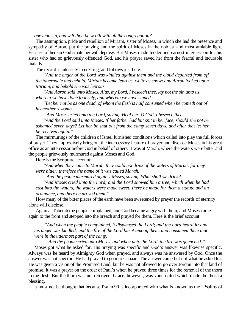*one man sin, and wilt thou be wroth with all the congregation?´*

The assumption, pride and rebellion of Miriam, sister of Moses, in which she had the presence and sympathy of Aaron, put the praying and the spirit of Moses in the noblest and most amiable light. Because of her sin God smote her with leprosy. But Moses made tender and earnest intercession for his sister who had so grievously offended God, and his prayer saved her from the fearful and incurable malady.

The record is intensely interesting, and follows just here:

*³And the anger of the Lord was kindled against them and the cloud departed from off the tabernacle and behold, Miriam became leprous, white as snow; and Aaron looked upon Miriam, and behold she was leprous.*

*³And Aaron said unto Moses, Alas, my Lord, I beseech thee, lay not the sin unto us, wherein we have done foolishly, and wherein we have sinned.*

*³Let her not be as one dead, of whom the flesh is half consumed when he cometh out of his mother¶s womb.*

*³And Moses cried unto the Lord, saying, Heal her, O God, I beseech thee. ³And the Lord said unto Moses, If her father had but spit in her face, should she not be ashamed seven days? Let her be shut out from the camp seven days, and after that let her be received again.´*

The murmurings of the children of Israel furnished conditions which called into play the full forces of prayer. They impressively bring out the intercessory feature of prayer and disclose Moses in his great office as an intercessor before God in behalf of others. It was at Marah, where the waters were bitter and the people grievously murmured against Moses and God.

Here is the Scripture account:

*³And when they came to Marah, they could not drink of the waters of Marah; for they were bitter; therefore the name of it was called Marah.*

*³And the people murmured against Moses, saying, What shall we drink?*

*³And Moses cried unto the Lord; and the Lord showed him a tree, which when he had cast into the waters, the waters were made sweet; there he made for them a statute and an ordinance, and there he proved them.´*

How many of the bitter places of the earth have been sweetened by prayer the records of eternity alone will disclose.

Again at Taberah the people complained, and God became angry with them, and Moses came again to the front and stepped into the breach and prayed for them. Here is the brief account:

*³And when the people complained, it displeased the Lord; and the Lord heard it; and his anger was kindled; and the fire of the Lord burnt among them, and consumed them that were in the uttermost part of the camp.*

*³And the people cried unto Moses, and when unto the Lord, the fire was quenched.´*

Moses got what he asked for. His praying was specific and God's answer was likewise specific. Always was he heard by Almighty God when prayed, and always was he answered by God. Once the answer was not specific. He had prayed to go into Canaan. The answer came but not what he asked for. He was given a vision of the Promised Land, but he was not allowed to go over Jordan into that land of promise. It was a prayer on the order of Paul's when he prayed three times for the removal of the thorn in the flesh. But the thorn was not removed. Grace, however, was vouchsafed which made the thorn a blessing.

It must not be thought that because Psalm 90 is incorporated with what is known as the "Psalms of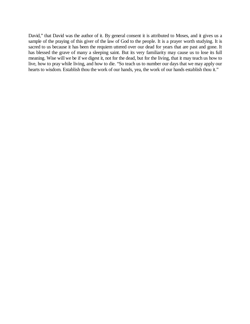David," that David was the author of it. By general consent it is attributed to Moses, and it gives us a sample of the praying of this giver of the law of God to the people. It is a prayer worth studying. It is sacred to us because it has been the requiem uttered over our dead for years that are past and gone. It has blessed the grave of many a sleeping saint. But its very familiarity may cause us to lose its full meaning. Wise will we be if we digest it, not for the dead, but for the living, that it may teach us how to live, how to pray while living, and how to die. "So teach us to number our days that we may apply our hearts to wisdom. Establish thou the work of our hands, yea, the work of our hands establish thou it."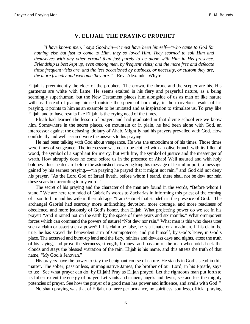#### **V. ELIJAH, THE PRAYING PROPHET**

*³I have known men,´ says Goodwin²it must have been himself²³who came to God for nothing else but just to come to Him, they so loved Him. They scorned to soil Him and themselves with any other errand than just purely to be alone with Him in His presence. Friendship is best kept up, even among men, by frequent visits; and the more free and defecate those frequent visits are, and the less occasioned by business, or necessity, or custom they are, the more friendly and welcome they are.*<sup>"</sup>—Rev. Alexander Whyte

Elijah is preeminently the elder of the prophets. The crown, the throne and the scepter are his. His garments are white with flame. He seems exalted in his fiery and prayerful nature, as a being seemingly superhuman, but the New Testament places him alongside of us as man of like nature with us. Instead of placing himself outside the sphere of humanity, in the marvelous results of his praying, it points to him as an example to be imitated and as inspiration to stimulate us. To pray like Elijah, and to have results like Elijah, is the crying need of the times.

Elijah had learned the lesson of prayer, and had graduated in that divine school ere we know him. Somewhere in the secret places, on mountain or in plain, he had been alone with God, an intercessor against the debasing idolatry of Ahab. Mightily had his prayers prevailed with God. How confidently and well assured were the answers to his praying.

He had been talking with God about vengeance. He was the embodiment of his times. Those times were times of vengeance. The intercessor was not to be clothed with an olive branch with its fillet of wood, the symbol of a suppliant for mercy, but with fire, the symbol of justice and the messenger of wrath. How abruptly does he come before us in the presence of Ahab! Well assured and with holy boldness does he declare before the astonished, cowering king his message of fearful import, a message gained by his earnest praying,—"in praying he prayed that it might not rain," and God did not deny his prayer. "As the Lord God of Israel liveth, before whom I stand, there shall not be dew nor rain these years but according to my word."

The secret of his praying and the character of the man are found in the words, "Before whom I stand." We are here reminded of Gabriel's words to Zacharias in informing this priest of the coming of a son to him and his wife in their old age: "I am Gabriel that standeth in the presence of God." The archangel Gabriel had scarcely more unflinching devotion, more courage, and more readiness of obedience, and more jealously of God's honor, than Elijah. What projecting power do we see in his prayer! "And it rained not on the earth by the space of three years and six months." What omnipotent forces which can command the powers of nature! "Not dew nor rain." What man is this who dares utter such a claim or assert such a power? If his claim be false, he is a fanatic or a madman. If his claim be true, he has stayed the benevolent arm of Omnipotence, and put himself, by God's leave, in God's place. The accursed and burnt-up land and the fiery, rainless and dewless days and nights, attest the truth of his saying, and prove the sternness, strength, firmness and passion of the man who holds back the clouds and stays the blessed visitation of the rain. Elijah is his name, and this attests the truth of that name, "My God is Jehovah."

His prayers have the power to stay the benignant course of nature. He stands in God's stead in this matter. The sober, passionless, unimaginative James, the brother of our Lord, in his Epistle, says to us: "See what prayer can do, by Elijah! Pray as Elijah prayed. Let the righteous man put forth to its fullest extent the energy of prayer. Let saints and sinners, angels and devils, see and feel the mighty potencies of prayer. See how the prayer of a good man has power and influence, and avails with God!"

No sham praying was that of Elijah, no mere performance, no spiritless, soulless, official praying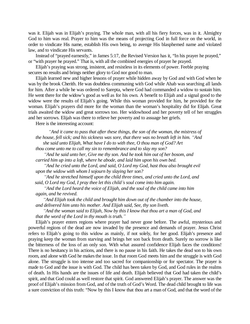was it. Elijah was in Elijah's praying. The whole man, with all his fiery forces, was in it. Almighty God to him was real. Prayer to him was the means of projecting God in full force on the world, in order to vindicate His name, establish His own being, to avenge His blasphemed name and violated law, and to vindicate His servants.

Instead of "prayed earnestly," in James 5:17, the Revised Version has it, "In his prayer he prayed," or "with prayer he prayed." That is, with all the combined energies of prayer he prayed.

Elijah's praying was strong, insistent, and resistless in its elements of power. Feeble praying secures no results and brings neither glory to God nor good to man.

Elijah learned new and higher lessons of prayer while hidden away by God and with God when he was by the brook Cherith. He was doubtless communing with God while Ahab was searching all lands for him. After a while he was ordered to Sarepta, where God had commanded a widow to sustain him. He went there for the widow's good as well as for his own. A benefit to Elijah and a signal good to the widow were the results of Elijah's going. While this woman provided for him, he provided for the woman. Elijah's prayers did more for the woman than the woman's hospitality did for Elijah. Great trials awaited the widow and great sorrows too. Her widowhood and her poverty tell of her struggles and her sorrows. Elijah was there to relieve her poverty and to assuage her griefs.

Here is the interesting account:

*³And it came to pass that after these things, the son of the woman, the mistress of the house, fell sick; and his sickness was sore, that there was no breath left in him. "And she said unto Elijah, What have I do to with thee, O thou man of God? Art*

*thou come unto me to call my sin to remembrance and to slay my son?*

*³And he said unto her, Give me thy son. And he took him out of her bosom, and carried him up into a loft, where he abode, and laid him upon his own bed.*

*³And he cried unto the Lord, and said, O Lord my God, hast thou also brought evil upon the widow with whom I sojourn by slaying her son?*

*³And he stretched himself upon the child three times, and cried unto the Lord, and said, O Lord my God, I pray thee let this child¶s soul come into him again.*

*³And the Lord heard the voice of Elijah, and the soul of the child came into him again, and he revived.*

*³And Elijah took the child and brought him down out of the chamber into the house, and delivered him unto his mother. And Elijah said, See, thy son liveth.*

*³And the woman said to Elijah, Now by this I know that thou art a man of God, and that the word of the Lord in thy mouth is truth.´*

Elijah's prayer enters regions where prayer had never gone before. The awful, mysterious and powerful regions of the dead are now invaded by the presence and demands of prayer. Jesus Christ refers to Elijah's going to this widow as mainly, if not solely, for her good. Elijah's presence and praying keep the woman from starving and brings her son back from death. Surely no sorrow is like the bitterness of the loss of an only son. With what assured confidence Elijah faces the conditions! There is no hesitancy in his actions, and there is no pause in his faith. He takes the dead son to his own room, and alone with God he makes the issue. In that room God meets him and the struggle is with God alone. The struggle is too intense and too sacred for companionship or for spectator. The prayer is made to God and the issue is with God. The child has been taken by God, and God rules in the realms of death. In His hands are the issues of life and death. Elijah believed that God had taken the child's spirit, and that God could as well restore that spirit. God answered Elijah's prayer. The answer was the proof of Elijah's mission from God, and of the truth of God's Word. The dead child brought to life was a sure conviction of this truth: "Now by this I know that thou art a man of God, and that the word of the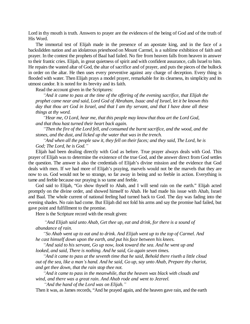Lord in thy mouth is truth. Answers to prayer are the evidences of the being of God and of the truth of His Word.

The immortal test of Elijah made in the presence of an apostate king, and in the face of a backslidden nation and an idolatrous priesthood on Mount Carmel, is a sublime exhibition of faith and prayer. In the contest the prophets of Baal had failed. No fire from heaven falls from heaven in answer to their frantic cries. Elijah, in great quietness of spirit and with confident assurance, calls Israel to him. He repairs the wasted altar of God, the altar of sacrifice and of prayer, and puts the pieces of the bullock in order on the altar. He then uses every preventive against any charge of deception. Every thing is flooded with water. Then Elijah prays a model prayer, remarkable for its clearness, its simplicity and its utmost candor. It is noted for its brevity and its faith.

Read the account given in the Scriptures:

*³And it came to pass at the time of the offering of the evening sacrifice, that Elijah the prophet came near and said, Lord God of Abraham, Isaac and of Israel, let it be known this day that thou art God in Israel, and that I am thy servant, and that I have done all these things at thy word.*

*³Hear me, O Lord, hear me, that this people may know that thou art the Lord God, and that thou hast turned their heart back again.*

*³Then the fire of the Lord fell, and consumed the burnt sacrifice, and the wood, and the stones, and the dust, and licked up the water that was in the trench.*

*³And when all the people saw it, they fell on their faces; and they said, The Lord, he is God; The Lord, he is God.´*

Elijah had been dealing directly with God as before. True prayer always deals with God. This prayer of Elijah was to determine the existence of the true God, and the answer direct from God settles the question. The answer is also the credentials of Elijah's divine mission and the evidence that God deals with men. If we had more of Elijah's praying, marvels would not be the marvels that they are now to us. God would not be so strange, so far away in being and so feeble in action. Everything is tame and feeble because our praying is so tame and feeble.

God said to Elijah, "Go show thyself to Ahab, and I will send rain on the earth." Elijah acted promptly on the divine order, and showed himself to Ahab. He had made his issue with Ahab, Israel and Baal. The whole current of national feeling had turned back to God. The day was fading into the evening shades. No rain had come. But Elijah did not fold his arms and say the promise had failed, but gave point and fulfillment to the promise.

Here is the Scripture record with the result given:

*³And Elijah said unto Ahab, Get thee up, eat and drink, for there is a sound of abundance of rain.*

*³So Ahab went up to eat and to drink. And Elijah went up to the top of Carmel. And he cast himself down upon the earth, and put his face between his knees.*

*³And said to his servant, Go up now, look toward the sea. And he went up and looked, and said, There is nothing. And he said, Go again seven times.*

*³And it came to pass at the seventh time that he said, Behold there riseth a little cloud out of the sea, like a man¶s hand. And he said, Go up, say unto Ahab, Prepare thy chariot, and get thee down, that the rain stop thee not.*

*³And it came to pass in the meanwhile, that the heaven was black with clouds and wind, and there was a great rain. And Ahab rode and went to Jezreel.*

*³And the hand of the Lord was on Elijah.´*

Then it was, as James records, "And he prayed again, and the heaven gave rain, and the earth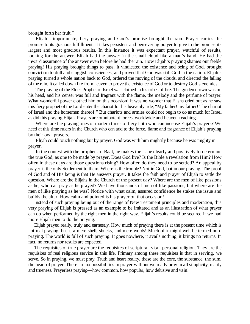brought forth her fruit."

Elijah's importunate, fiery praying and God's promise brought the rain. Prayer carries the promise to its gracious fulfillment. It takes persistent and persevering prayer to give to the promise its largest and most gracious results. In this instance it was expectant prayer, watchful of results, looking for the answer. Elijah had the answer in the small cloud like a man's hand. He had the inward assurance of the answer even before he had the rain. How Elijah's praying shames our feeble praying! His praying brought things to pass. It vindicated the existence and being of God, brought conviction to dull and sluggish consciences, and proved that God was still God in the nation. Elijah's praying turned a whole nation back to God, ordered the moving of the clouds, and directed the falling of the rain. It called down fire from heaven to prove the existence of God or to destroy God's enemies.

The praying of the Elder Prophet of Israel was clothed in his robes of fire. The golden crown was on his head, and his censer was full and fragrant with the flame, the melody and the perfume of prayer. What wonderful power clothed him on this occasion! It was no wonder that Elisha cried out as he saw this fiery prophet of the Lord enter the chariot for his heavenly ride, "My father! my father! The chariot of Israel and the horsemen thereof!" But chariots and armies could not begin to do as much for Israel as did this praying Elijah. Prayers are omnipotent forces, worldwide and heaven-reaching.

Where are the praying ones of modern times of fiery faith who can incense Elijah's prayers? We need at this time rulers in the Church who can add to the force, flame and fragrance of Elijah's praying by their own prayers.

Elijah could touch nothing but by prayer. God was with him mightily because he was mighty in prayer.

In the contest with the prophets of Baal, he makes the issue clearly and positively to determine the true God, as one to be made by prayer. Does God live? Is the Bible a revelation from Him? How often in these days are those questions rising? How often do they need to be settled? An appeal by prayer is the only Settlement to them. Where is the trouble? Not in God, but in our praying. The proof of God and of His being is that He answers prayer. It takes the faith and prayer of Elijah to settle the question. Where are the Elijahs in the Church of the present day? Where are the men of like passions as he, who can pray as he prayed? We have thousands of men of like passions, but where are the men of like praying as he was? Notice with what calm, assured confidence he stakes the issue and builds the altar. How calm and pointed is his prayer on that occasion!

Instead of such praying being out of the range of New Testament principles and moderation, this very praying of Elijah is pressed as an example to be imitated and as an illustration of what prayer can do when performed by the right men in the right way. Elijah's results could be secured if we had more Elijah men to do the praying.

Elijah prayed really, truly and earnestly. How much of praying there is at the present time which is not real praying, but is a mere shell, shucks, and mere words! Much of it might well be termed nonpraying. The world is full of such praying. It goes nowhere, it avails nothing, it brings no returns. In fact, no returns nor results are expected.

The requisites of true prayer are the requisites of scriptural, vital, personal religion. They are the requisites of real religious service in this life. Primary among these requisites is that in serving, we serve. So in praying, we must pray. Truth and heart reality, these are the core, the substance, the sum, the heart of prayer. There are no possibilities in prayer without we really pray in all simplicity, reality and trueness. Prayerless praying—how common, how popular, how delusive and vain!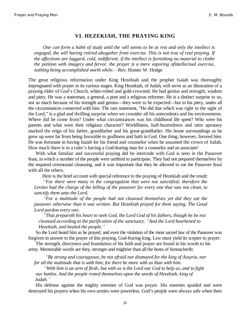#### **VI. HEZEKIAH, THE PRAYING KING**

*One can form a habit of study until the will seems to be at rest and only the intellect is engaged, the will having retired altogether from exercise. This is not true of real praying. If the affections are laggard, cold, indifferent, if the intellect is furnishing no material to clothe the petition with imagery and fervor, the prayer is a mere vaporing ofintellectual exercise, nothing being accomplished worth while.*—Rev. Homer W. Hodge

The great religious reformation under King Hezekiah and the prophet Isaiah was thoroughly impregnated with prayer in its various stages. King Hezekiah, of Judah, will serve as an illustration of a praying elder of God's Church, white-robed and gold-crowned. He had genius and strength, wisdom and piety. He was a statesman, a general, a poet and a religious reformer. He is a distinct surprise to us, not so much because of his strength and genius—they were to be expected—but in his piety, under all the circumstances connected with him. The rare statement, "He did that which was right in the sight of the Lord," is a glad and thrilling surprise when we consider all his antecedents and his environments. Where did he come from? Under what circumstances was his childhood life spent? Who were his parents and what were their religious character? Worldliness, half-heartedness and utter apostasy marked the reign of his father, grandfather and his great-grandfather. His home surroundings as he grew up were far from being favorable to godliness and faith in God. One thing, however, favored him. He was fortunate in having Isaiah for his friend and counselor when he assumed the crown of Judah. How much there is in a ruler's having a God-fearing man for a counselor and an associate!

With what familiar and successful praying did he intercede with God is seen in the Passover feast, in which a number of the people were unfitted to participate. They had not prepared themselves by the required ceremonial cleansing, and it was important that they be allowed to eat the Passover feast with all the others.

Here is the brief account with special reference to the praying of Hezekiah and the result:

*³For there were many in the congregation that were not sanctified; therefore the Levites had the charge of the killing of the passover for every one that was not clean, to sanctify them unto the Lord.*

*³For a multitude of the people had not cleansed themselves yet did they eat the passover otherwise than it was written. But Hezekiah prayed for them saying, The Good Lord pardon every one.*

*³That prepareth his heart to seek God, the Lord God of his fathers, though he be not cleansed according to the purification of the sanctuary. ³And the Lord hearkened to Hezekiah, and healed the people.´*

So the Lord heard him as he prayed, and even the violation of the most sacred law of the Passover was forgiven in answer to the prayer of this praying, God-fearing king. Law must yield its scepter to prayer.

The strength, directness and foundation of his faith and prayer are found in his words to his army. Memorable words are they, stronger and mightier than all the hosts of Sennacherib:

*³Be strong and courageous; be not afraid nor dismayed for the king of Assyria, nor for all the multitude that is with him; for there be more with us than with him.*

*³With him is an arm of flesh; but with us is the Lord our God to help us, and to fight our battles. And the people rested themselves upon the words of Hezekiah, king of Judah.´*

His defense against the mighty enemies of God was prayer. His enemies quailed and were destroyed his prayers when his own armies were powerless. God's people were always safe when their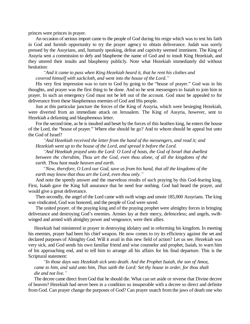princes were princes in prayer.

An occasion of serious import came to the people of God during his reign which was to test his faith in God and furnish opportunity to try the prayer agency to obtain deliverance. Judah was sorely pressed by the Assyrians, and, humanly speaking, defeat and captivity seemed imminent. The King of Assyria sent a commission to defy and blaspheme the name of God and to insult King Hezekiah, and they uttered their insults and blasphemy publicly. Note what Hezekiah immediately did without hesitation:

*³And it came to pass when King Hezekiah heard it, that he rent his clothes and covered himself with sackcloth, and went into the house of the Lord.´*

His very first impression was to turn to God by going to the "house of prayer." God was in his thoughts, and prayer was the first thing to be done. And so he sent messengers to Isaiah to join him in prayer. In such an emergency God must not be left out of the account. God must be appealed to for deliverance from these blasphemous enemies of God and His people.

Just at this particular juncture the forces of the King of Assyria, which were besieging Hezekiah, were diverted from an immediate attack on Jerusalem. The King of Assyria, however, sent to Hezekiah a defaming and blasphemous letter.

For the second time, as he is insulted and beset by the forces of this heathen king, he enters the house of the Lord, the "house of prayer." Where else should he go? And to whom should he appeal but unto the God of Israel?

*³And Hezekiah received the letter from the hand of the messengers, and read it; and Hezekiah went up to the house of the Lord, and spread it before the Lord.*

*³And Hezekiah prayed unto the Lord: O Lord of hosts, the God of Israel that dwellest between the cherubim, Thou art the God, even thou alone, of all the kingdoms of the earth. Thou hast made heaven and earth.*

*³Now, therefore, O Lord our God, save us from his hand, that all the kingdoms of the earth may know that thou art the Lord, even thou only.´*

And note the speedy answer and the marvelous results of such praying by this God-fearing king. First, Isaiah gave the King full assurance that he need fear nothing. God had heard the prayer, and would give a great deliverance.

Then secondly, the angel of the Lord came with swift wings and smote 185,000 Assyrians. The king was vindicated, God was honored, and the people of God were saved.

The united prayer. of the praying king and of the praying prophet were almighty forces in bringing deliverance and destroying God's enemies. Armies lay at their mercy, defenceless; and angels, swiftwinged and armed with almighty power and vengeance, were their allies.

Hezekiah had ministered in prayer in destroying idolatry and in reforming his kingdom. In meeting his enemies, prayer had been his chief weapon. He now comes to try its efficiency against the set and declared purposes of Almighty God. Will it avail in this new field of action? Let us see. Hezekiah was very sick, and God sends his own familiar friend and wise counselor and prophet, Isaiah, to warn him of his approaching end, and to tell him to arrange all his affairs for his final departure. This is the Scriptural statement:

*³In those days was Hezekiah sick unto death. And the Prophet Isaiah, the son of Amoz, came to him, and said unto him, Thus saith the Lord: Set thy house in order, for thou shalt die and not live.´*

The decree came direct from God that he should die. What can set aside or reverse that Divine decree of heaven? Hezekiah had never been in a condition so insuperable with a decree so direct and definite from God. Can prayer change the purposes of God? Can prayer snatch from the jaws of death one who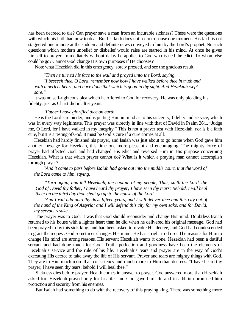has been decreed to die? Can prayer save a man from an incurable sickness? These were the questions with which his faith had now to deal. But his faith does not seem to pause one moment. His faith is not staggered one minute at the sudden and definite news conveyed to him by the Lord's prophet. No such questions which modern unbelief or disbelief would raise are started in his mind. At once he gives himself to prayer. Immediately without delay he applies to God who issued the edict. To whom else could he go? Cannot God change His own purposes if He chooses?

Note what Hezekiah did in this emergency, sorely pressed, and see the gracious result:

*³Then he turned his face to the wall and prayed unto the Lord, saying,*

*³I beseech thee, O Lord, remember now how I have walked before thee in truth and with a perfect heart, and have done that which is good in thy sight. And Hezekiah wept sore.´*

It was no self-righteous plea which he offered to God for recovery. He was only pleading his fidelity, just as Christ did in after years:

#### *³Father I have glorified thee on earth.´*

He is the Lord's reminder, and is putting Him in mind as to his sincerity, fidelity and service, which was in every way legitimate. This prayer was directly in line with that of David in Psalm 26:1, "Judge me, O Lord, for I have walked in my integrity." This is not a prayer test with Hezekiah, nor is it a faith cure, but it is a testing of God. It must be God's cure if a cure comes at all.

Hezekiah had hardly finished his prayer, and Isaiah was just about to go home when God gave him another message for Hezekiah, this time one more pleasant and encouraging. The mighty force of prayer had affected God, and had changed His edict and reversed Him in His purpose concerning Hezekiah. What is that which prayer cannot do? What is it which a praying man cannot accomplish through prayer?

*³And it came to pass before Isaiah had gone out into the middle court, that the word of the Lord came to him, saying,*

*³Turn again, and tell Hezekiah, the captain of my people, Thus, saith the Lord, the God of David thy father, I have heard thy prayer; I have seen thy tears; Behold, I will heal thee; on the third day thou shalt go up to the house of the Lord.*

*³And I will add unto thy days fifteen years, and I will deliver thee and this city out of the hand of the King of Assyria; and I will defend this city for my own sake, and for David, my servant¶s sake.´*

The prayer was to God. It was that God should reconsider and change His mind. Doubtless Isaiah returned to his house with a lighter heart than he did when he delivered his original message. God had been prayed to by this sick king, and had been asked to revoke His decree, and God had condescended to grant the request. God sometimes changes His mind. He has a right to do so. The reasons for Him to change His mind are strong reasons. His servant Hezekiah wants it done. Hezekiah had been a dutiful servant and had done much for God. Truth, perfection and goodness have been the elements of Hezekiah's service and the rule of his life. Hezekiah's tears and prayer are in the way of God's executing His decree to take away the life of His servant. Prayer and tears are mighty things with God. They are to Him much more than consistency and much more to Him than decrees. "I have heard thy prayer; I have seen thy tears; behold I will heal thee."

Sickness dies before prayer. Health comes in answer to prayer. God answered more than Hezekiah asked for. Hezekiah prayed only for his life, and God gave him life and in addition promised him protection and security from his enemies.

But Isaiah had something to do with the recovery of this praying king. There was something more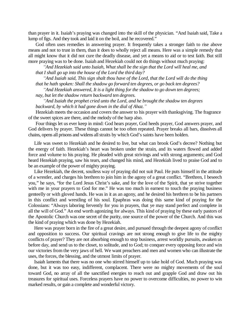than prayer in it. Isaiah's praying was changed into the skill of the physician. "And Isaiah said, Take a lump of figs. And they took and laid it on the boil, and he recovered."

God often uses remedies in answering prayer. It frequently takes a stronger faith to rise above means and not to trust in them, than it does to wholly reject all means. Here was a simple remedy that all might know that it did not cure the deadly disease, and yet a means to aid or to test faith. But still more praying was to be done. Isaiah and Hezekiah could not do things without much praying:

*³And Hezekiah said unto Isaiah, What shall be the sign that the Lord will heal me, and that I shall go up into the house of the Lord the third day?*

*³And Isaiah said, This sign shalt thou have of the Lord, that the Lord will do the thing that he hath spoken: Shall the shadow go forward ten degrees, or go back ten degrees?*

*³And Hezekiah answered, It is a light thing for the shadow to go down ten degrees; nay, but let the shadow return backward ten degrees.*

*³And Isaiah the prophet cried unto the Lord, and he brought the shadow ten degrees backward, by which it had gone down in the dial of Ahaz.´*

Hezekiah meets the occasion and covers the answer to his prayer with thanksgiving. The fragrance of the sweet spices are there, and the melody of the harp also.

Four things let us ever keep in mind: God hears prayer, God heeds prayer, God answers prayer, and God delivers by prayer. These things cannot be too often repeated. Prayer breaks all bars, dissolves all chains, opens all prisons and widens all straits by which God's saints have been holden.

Life was sweet to Hezekiah and he desired to live, but what can brook God's decree? Nothing but the energy of faith. Hezekiah's heart was broken under the strain, and its waters flowed and added force and volume to his praying. He pleaded with great strivings and with strong arguments; and God heard Hezekiah praying, saw his tears, and changed his mind, and Hezekiah lived to praise God and to be an example of the power of mighty praying.

Like Hezekiah, the decent, soulless way of praying did not suit Paul. He puts himself in the attitude of a wrestler, and charges his brethren to join him in the agony of a great conflict. "Brethren, I beseech you," he says, "for the Lord Jesus Christ's sake, and for the love of the Spirit, that ye strive together with me in your prayers to God for me." He was too much in earnest to touch the praying business genteelly or with gloved hands. He was in it as an agony, and he desired his brethren to be his partners in this conflict and wrestling of his soul. Epaphras was doing this same kind of praying for the Colossians: "Always laboring fervently for you in prayers, that ye may stand perfect and complete in all the will of God." An end worth agonizing for always. This kind of praying by these early pastors of the Apostolic Church was one secret of the purity, one source of the power of the Church. And this was the kind of praying which was done by Hezekiah.

Here was prayer born in the fire of a great desire, and pursued through the deepest agony of conflict and opposition to success. Our spiritual cravings are not strong enough to give life to the mighty conflicts of prayer? They are not absorbing enough to stop business, arrest worldly pursuits, awaken us before day, and send us to the closet, to solitude, and to God; to conquer every opposing force and win our victories from the very jaws of hell. We want preachers and men and women who can illustrate the uses, the forces, the blessing, and the utmost limits of prayer.

Isaiah laments that there was no one who stirred himself up to take hold of God. Much praying was done, but it was too easy, indifferent, complacent. There were no mighty movements of the soul toward God, no array of all the sanctified energies to reach out and grapple God and draw out his treasures for spiritual uses. Forceless prayers have no power to overcome difficulties, no power to win marked results, or gain a complete and wonderful victory.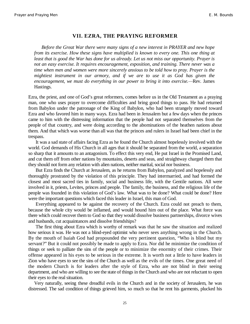#### **VII. EZRA, THE PRAYING REFORMER**

*Before the Great War there were many signs of a new interest in PRAYER and new hope from its exercise. How these signs have multiplied is known to every one. This one thing at least that is good the War has done for us already. Let us not miss our opportunity. Prayer is not an easy exercise. It requires encouragement, exposition, and training. There never was a time when men and women were more sincerely anxious to be told how to pray. Prayer is the mightiest instrument in our armory, and if we are to use it as God has given the encouragement, we must do everything in our power to bring it into exercise.—Rev. James* Hastings.

Ezra, the priest, and one of God's great reformers, comes before us in the Old Testament as a praying man, one who uses prayer to overcome difficulties and bring good things to pass. He had returned from Babylon under the patronage of the King of Babylon, who had been strangely moved toward Ezra and who favored him in many ways. Ezra had been in Jerusalem but a few days when the princes came to him with the distressing information that the people had not separated themselves from the people of that country, and were doing according to the abominations of the heathen nations about them. And that which was worse than all was that the princes and rulers in Israel had been chief in the trespass.

It was a sad state of affairs facing Ezra as he found the Church almost hopelessly involved with the world. God demands of His Church in all ages that it should be separated from the world, a separation so sharp that it amounts to an antagonism. To effect this very end, He put Israel in the Promised Land, and cut them off from other nations by mountains, deserts and seas, and straightway charged them that they should not form any relation with alien nations, neither marital, social nor business.

But Ezra finds the Church at Jerusalem, as he returns from Babylon, paralyzed and hopelessly and thoroughly prostrated by the violation of this principle. They had intermarried, and had formed the closest and most sacred ties in family, social and business life, with the Gentile nations. All were involved in it, priests, Levites, princes and people. The family, the business, and the religious life of the people was founded in this violation of God's law. What was to be done? What could be done? Here were the important questions which faced this leader in Israel, this man of God.

Everything appeared to be against the recovery of the Church. Ezra could not preach to them, because the whole city would be inflamed, and would hound him out of the place. What force was there which could recover them to God so that they would dissolve business partnerships, divorce wives and husbands, cut acquaintances and dissolve friendships?

The first thing about Ezra which is worthy of remark was that he saw the situation and realized how serious it was. He was not a blind-eyed optimist who never sees anything wrong in the Church. By the mouth of Isaiah God had propounded the very pertinent question, "Who is blind but my servant?" But it could not possibly be made to apply to Ezra. Nor did he minimize the condition of things or seek to palliate the sins of the people or to minimize the enormity of their crimes. Their offense appeared in his eyes to be serious in the extreme. It is worth not a little to have leaders in Zion who have eyes to see the sins of the Church as well as the evils of the times. One great need of the modern Church is for leaders after the style of Ezra, who are not blind in their seeing department, and who are willing to see the state of things in the Church and who are not reluctant to open their eyes to the real situation.

Very naturally, seeing these dreadful evils in the Church and in the society of Jerusalem, he was distressed. The sad condition of things grieved him, so much so that he rent his garments, plucked his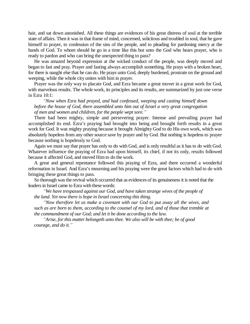hair, and sat down astonished. All these things are evidences of his great distress of soul at the terrible state of affairs. Then it was in that frame of mind, concerned, solicitous and troubled in soul, that he gave himself to prayer, to confession of the sins of the people, and to pleading for pardoning mercy at the hands of God. To whom should he go in a time like this but unto the God who hears prayer, who is ready to pardon and who can bring the unexpected thing to pass?

He was amazed beyond expression at the wicked conduct of the people, was deeply moved and began to fast and pray. Prayer and fasting always accomplish something. He prays with a broken heart, for there is naught else that he can do. He prays unto God, deeply burdened, prostrate on the ground and weeping, while the whole city unites with him in prayer.

Prayer was the only way to placate God, and Ezra became a great mover in a great work for God, with marvelous results. The whole work, its principles and its results, are summarized by just one verse in Ezra 10:1:

*³Now when Ezra had prayed, and had confessed, weeping and casting himself down before the house of God, there assembled unto him out of Israel a very great congregation of men and women and children, for the people wept sore.´*

There had been mighty, simple and persevering prayer. Intense and prevailing prayer had accomplished its end. Ezra's praying had brought into being and brought forth results in a great work for God. It was mighty praying because it brought Almighty God to do His own work, which was absolutely hopeless from any other source save by prayer and by God. But nothing is hopeless to prayer because nothing is hopelessly to God.

Again we must say that prayer has only to do with God, and is only resultful as it has to do with God. Whatever influence the praying of Ezra had upon himself, its chief, if not its only, results followed because it affected God, and moved Him to do the work.

A great and general repentance followed this praying of Ezra, and there occurred a wonderful reformation in Israel. And Ezra's mourning and his praying were the great factors which had to do with bringing these great things to pass.

So thorough was the revival which occurred that as evidences of its genuineness it is noted that the leaders in Israel came to Ezra with these words:

*³We have trespassed against our God, and have taken strange wives of the people of the land. Yet now there is hope in Israel concerning this thing.*

*³Now therefore let us make a covenant with our God to put away all the wives, and such as are born to them, according to the counsel of my lord, and of those that tremble at the commandment of our God; and let it be done according to the law.*

*³Arise, for this matter belongeth unto thee. We also will be with thee; be of good courage, and do it.´*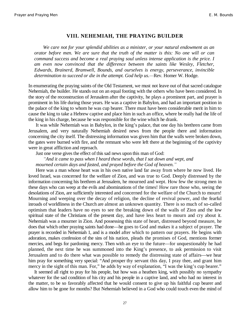#### **VIII. NEHEMIAH, THE PRAYING BUILDER**

*We care not for your splendid abilities as a minister, or your natural endowment as an orator before men. We are sure that the truth of the matter is this: No one will or can command success and become a real praying soul unless intense application is the price. I am even now convinced that the difference between the saints like Wesley, Fletcher, Edwards, Brainerd, Bramwell, Bounds, and ourselves is energy, perseverance, invincible determination to succeed or die in the attempt. God help us.—Rev. Homer W. Hodge.* 

In enumerating the praying saints of the Old Testament, we must not leave out of that sacred catalogue Nehemiah, the builder. He stands out on an equal footing with the others who have been considered. In the story of the reconstruction of Jerusalem after the captivity, he plays a prominent part, and prayer is prominent in his life during those years. He was a captive in Babylon, and had an important position in the palace of the king to whom he was cup bearer. There must have been considerable merit in him to cause the king to take a Hebrew captive and place him in such an office, where be really had the life of the king in his charge, because he was responsible for the wine which he drank.

It was while Nehemiah was in Babylon, in the king's palace, that one day his brethren came from Jerusalem, and very naturally Nehemiah desired news from the people there and information concerning the city itself. The distressing information was given him that the walls were broken down, the gates were burned with fire, and the remnant who were left there at the beginning of the captivity were in great affliction and reproach.

Just one verse gives the effect of this sad news upon this man of God:

*³And it came to pass when I heard these words, that I sat down and wept, and mourned certain days and fasted, and prayed before the God of heaven.´*

Here was a man whose heart was in his own native land far away from where he now lived. He loved Israel, was concerned for the welfare of Zion, and was true to God. Deeply distressed by the information concerning his brethren at Jerusalem, he mourned and wept. How few the strong men in these days who can weep at the evils and abominations of the times! How rare those who, seeing the desolations of Zion, are sufficiently interested and concerned for the welfare of the Church to mourn! Mourning and weeping over the decay of religion, the decline of revival power, and the fearful inroads of worldliness in the Church are almost an unknown quantity. There is so much of so-called optimism that leaders have no eyes to see the breaking down of the walls of Zion and the low spiritual state of the Christians of the present day, and have less heart to mourn and cry about it. Nehemiah was a mourner in Zion. And possessing this state of heart, distressed beyond measure, he does that which other praying saints had done—he goes to God and makes it a subject of prayer. The prayer is recorded in Nehemiah 1, and is a model after which to pattern our prayers. He begins with adoration, makes confession of the sins of his nation, pleads the promises of God, mentions former mercies, and begs for pardoning mercy. Then with an eye to the future—for unquestionably he had planned, the next time he was summoned into the King's presence, to ask permission to visit Jerusalem and to do there what was possible to remedy the distressing state of affairs—we hear him pray for something very special: "And prosper thy servant this day, I pray thee, and grant him mercy in the sight of this man. For," he adds by way of explanation, "I was the king's cup bearer."

It seemed all right to pray for his people, but how was a heathen king, with possibly no sympathy whatever for the sad condition of his city and his people in a captive land, and who had no interest in the matter, to be so favorably affected that he would consent to give up his faithful cup bearer and allow him to be gone for months? But Nehemiah believed in a God who could touch even the mind of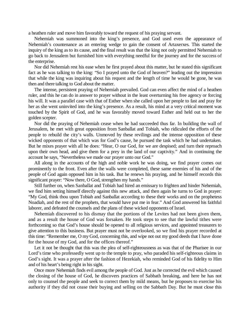a heathen ruler and move him favorably toward the request of his praying servant.

Nehemiah was summoned into the king's presence, and God used even the appearance of Nehemiah's countenance as an entering wedge to gain the consent of Artaxerxes. This started the inquiry of the king as to its cause, and the final result was that the king not only permitted Nehemiah to go back to Jerusalem but furnished him with everything needful for the journey and for the success of the enterprise.

Nor did Nehemiah rest his ease when he first prayed about this matter, but he stated this significant fact as he was talking to the king: "So I prayed unto the God of heaven?" leading out the impression that while the king was inquiring about his request and the length of time he would be gone, he was then and there talking to God about the matter.

The intense, persistent praying of Nehemiah prevailed. God can even affect the mind of a heathen ruler, and this he can do in answer to prayer without in the least overturning his free agency or forcing his will. It was a parallel case with that of Esther when she called upon her people to fast and pray for her as she went uninvited into the king's presence. As a result, his mind at a very critical moment was touched by the Spirit of God, and he was favorably moved toward Esther and held out to her the golden scepter.

Nor did the praying of Nehemiah cease when he had succeeded thus far. In building the wall of Jerusalem, he met with great opposition from Sanballat and Tobiah, who ridiculed the efforts of the people to rebuild the city's walls. Unmoved by these revilings and the intense opposition of these wicked opponents of that which was for God's cause, he pursued the task which he had undertaken. But he mixes prayer with all he does: "Hear, O our God, for we are despised; and turn their reproach upon their own head, and give them for a prey in the land of our captivity." And in continuing the account he says, "Nevertheless we made our prayer unto our God."

All along in the accounts of the high and noble work he was doing, we find prayer comes out prominently to the front. Even after the walls were completed, these same enemies of his and of the people of God again opposed him in his task. But he renews his praying, and he himself records this significant prayer: "Now there, O God, strengthen my hands."

Still further on, when Sanballat and Tobiah had hired an emissary to frighten and hinder Nehemiah, we find him setting himself directly against this new attack, and then again he turns to God in prayer: "My God, think thou upon Tobiah and Sanballat according to these their works and on the prophetess Noadiah, and the rest of the prophets, that would have put me in fear." And God answered his faithful laborer, and defeated the counsels and the plans of these wicked opponents of Israel.

Nehemiah discovered to his dismay that the portions of the Levites had not been given them, and as a result the house of God was forsaken. He took steps to see that the lawful tithes were forthcoming so that God's house should be opened to all religious services, and appointed treasurers to give attention to this business. But prayer must not be overlooked, so we find his prayer recorded at this time: "Remember me, O my God, concerning this, and wipe not out my good deeds that I have done for the house of my God, and for the offices thereof."

Let it not be thought that this was the plea of self-righteousness as was that of the Pharisee in our Lord's time who professedly went up to the temple to pray, who paraded his self-righteous claims in God's sight. It was a prayer after the fashion of Hezekiah, who reminded God of his fidelity to Him and of his heart's being right in his sight.

Once more Nehemiah finds evil among the people of God. Just as he corrected the evil which caused the closing of the house of God, he discovers practices of Sabbath breaking, and here he has not only to counsel the people and seek to correct them by mild means, but he proposes to exercise his authority if they did not cease their buying and selling on the Sabbath Day. But he must close this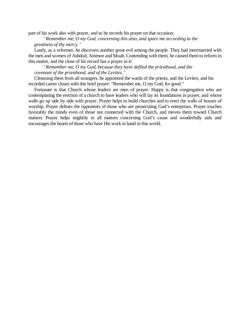part of his work also with prayer, and so he records his prayer on that occasion:

*³Remember me, O my God, concerning this also, and spare me according to the greatness of thy mercy.´*

Lastly, as a reformer, he discovers another great evil among the people. They had intermarried with the men and women of Ashdod, Ammon and Moab. Contending with them, he caused them to reform in this matter, and the close of his record has a prayer in it:

*³Remember me, O my God, because they have defiled the priesthood, and the covenant of the priesthood, and of the Levites.´*

Cleansing them from all strangers, he appointed the wards of the priests, and the Levites, and his recorded career closes with this brief prayer: "Remember me, O my God, for good."

Fortunate is that Church whose leaders are men of prayer. Happy is that congregation who are contemplating the erection of a church to have leaders who will lay its foundations in prayer, and whose walls go up side by side with prayer. Prayer helps to build churches and to erect the walls of houses of worship. Prayer defeats the opponents of those who are prosecuting God's enterprises. Prayer touches favorably the minds even of those not connected with the Church, and moves them toward Church matters. Prayer helps mightily in all matters concerning God's cause and wonderfully aids and encourages the hearts of those who have His work in hand in this world.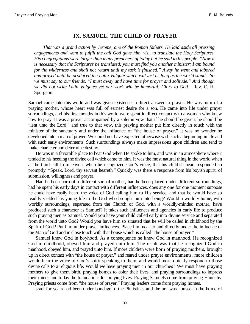#### **IX. SAMUEL, THE CHILD OF PRAYER**

*That was a grand action by Jerome, one of the Roman fathers. He laid aside all pressing engagements and went to fulfill the call God gave him, viz., to translate the Holy Scriptures. His congregations were larger than many preachers of today but he said to his people, "Now it is necessary that the Scriptures be translated; you must find you another minister: I am bound for the wilderness and shall not return until my task is finished.´ Away he went and labored and prayed until he produced the Latin Vulgate which will last as long as the world stands. So we must say to our friends, ³I must away and have time for prayer and solitude.´ And though we did not write Latin Vulgates yet our work will be immortal: Glory to God.—Rev. C. H.* Spurgeon.

Samuel came into this world and was given existence in direct answer to prayer. He was born of a praying mother, whose heart was full of earnest desire for a son. He came into life under prayer surroundings, and his first months in this world were spent in direct contact with a woman who knew how to pray. It was a prayer accompanied by a solemn vow that if he should be given, he should be "lent unto the Lord," and true to that vow, this praying mother put him directly in touch with the minister of the sanctuary and under the influence of "the house of prayer." It was no wonder he developed into a man of prayer. We could not have expected otherwise with such a beginning in life and with such early environments. Such surroundings always make impressions upon children and tend to make character and determine destiny.

He was in a favorable place to hear God when He spoke to him, and was in an atmosphere where it tended to his heeding the divine call which came to him. It was the most natural thing in the world when at the third call fromheaven, when he recognized God's voice, that his childish heart responded so promptly, "Speak, Lord, thy servant heareth." Quickly was there a response from his boyish spirit, of submission, willingness and prayer.

Had he been born of a different sort of mother, had he been placed under different surroundings, had he spent his early days in contact with different influences, does any one for one moment suppose he could have easily heard the voice of God calling him to His service, and that he would have so readily yielded his young life to the God who brought him into being? Would a worldly home, with worldly surroundings, separated from the Church of God, with a worldly-minded mother, have produced such a character as Samuel? It takes such influences and agencies in early life to produce such praying men as Samuel. Would you have your child called early into divine service and separated from the world unto God? Would you have him so situated that he will be called in childhood by the Spirit of God? Put him under prayer influences. Place him near to and directly under the influence of the Man of God and in close touch with that house which is called "the house of prayer."

Samuel knew God in boyhood. As a consequence he knew God in manhood. He recognized God in childhood, obeyed him and prayed unto him. The result was that he recognized God in manhood, obeyed him, and prayed unto him. If more children were born of praying mothers, brought up in direct contact with "the house of prayer," and reared under prayer environments, more children would hear the voice of God's spirit speaking to them, and would more quickly respond to those divine calls to a religious life. Would we have praying men in our churches? We must have praying mothers to give them birth, praying homes to color their lives, and praying surroundings to impress their minds and to lay the foundations for praying lives. Praying Samuels come from praying Hannahs. Praying priests come from "the house of prayer." Praying leaders come from praying homes.

Israel for years had been under bondage to the Philistines and the ark was housed in the home of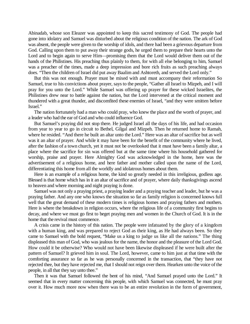Abinadab, whose son Eleazer was appointed to keep this sacred testimony of God. The people had gone into idolatry and Samuel was disturbed about the religious condition of the nation. The ark of God was absent, the people were given to the worship of idols, and there had been a grievous departure from God. Calling upon them to put away their strange gods, he urged them to prepare their hearts unto the Lord and to begin again to serve Him—promising them that the Lord would deliver them out of the hands of the Philistines. His preaching thus plainly to them, for with all else belonging to him, Samuel was a preacher of the times, made a deep impression and bore rich fruits as such preaching always does. "Then the children of Israel did put away Baalim and Ashtoreth, and served the Lord only."

But this was not enough. Prayer must be mixed with and must accompany their reformation So Samuel, true to his convictions about prayer, says to the people, "Gather all Israel to Mizpeh, and I will pray for you unto the Lord." While Samuel was offering up prayer for these wicked Israelites, the Philistines drew near to battle against the nation, but the Lord intervened at the critical moment and thundered with a great thunder, and discomfited these enemies of Israel, "and they were smitten before Israel."

The nation fortunately had a man who could pray, who knew the place and the worth of prayer, and a leader who had the ear of God and who could influence God.

But Samuel's praying did not stop there. He judged Israel all the days of his life, and had occasion from year to year to go in circuit to Bethel, Gilgal and Mizpeh. Then he returned home to Ramah, where he resided. "And there he built an altar unto the Lord." Here was an altar of sacrifice but as well was it an altar of prayer. And while it may have been for the benefit of the community where he lived, after the fashion of a town church, yet it must not be overlooked that it must have been a family altar, a place where the sacrifice for sin was offered but at the same time where his household gathered for worship, praise and prayer. Here Almighty God was acknowledged in the home, here was the advertisement of a religious home, and here father and mother called upon the name of the Lord, differentiating this home from all the worldly and idolatrous homes about them.

Here is an example of a religious home, the kind so greatly needed in this irreligious, godless age. Blessed is that home which has in it an altar of sacrifice and of prayer, where daily thanksgivings ascend to heaven and where morning and night praying is done.

Samuel was not only a praying priest, a praying leader and a praying teacher and leader, but he was a praying father. And any one who knows the situation so far as family religion is concerned knows full well that the great demand of these modern times is religious homes and praying fathers and mothers. Here is where the breakdown in religion occurs, where the religious life of a community first begins to decay, and where we must go first to beget praying men and women in the Church of God. It is in the home that the revival must commence.

A crisis came in the history of this nation. The people were infatuated by the glory of a kingdom with a human king, and was prepared to reject God as their king, as He had always been. So they came to Samuel with the bold request, "Make us a king to judge us like all the nations." The thing displeased this man of God, who was jealous for the name, the honor and the pleasure of the Lord God. How could it be otherwise? Who would not have been likewise displeased if he were built after the pattern of Samuel? It grieved him in soul. The Lord, however, came to him just at that time with the comforting assurance so far as he was personally concerned in the transaction, that "they have not rejected thee, but they have rejected me, that I should not reign over them. Hearken unto the voice of the people, in all that they say unto thee."

Then it was that Samuel followed the bent of his mind, "And Samuel prayed unto the Lord." It seemed that in every matter concerning this people, with which Samuel was connected, he must pray over it. How much more now when there was to be an entire revolution in the form of government,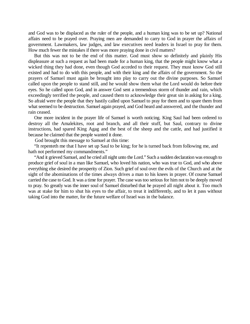and God was to be displaced as the ruler of the people, and a human king was to be set up? National affairs need to be prayed over. Praying men are demanded to carry to God in prayer the affairs of government. Lawmakers, law judges, and law executives need leaders in Israel to pray for them. How much fewer the mistakes if there was more praying done in civil matters?

But this was not to be the end of this matter. God must show so definitely and plainly His displeasure at such a request as had been made for a human king, that the people might know what a wicked thing they had done, even though God acceded to their request. They must know God still existed and had to do with this people, and with their king and the affairs of the government. So the prayers of Samuel must again be brought into play to carry out the divine purposes. So Samuel called upon the people to stand still, and he would show them what the Lord would do before their eyes. So he called upon God, and in answer God sent a tremendous storm of thunder and rain, which exceedingly terrified the people, and caused them to acknowledge their great sin in asking for a king. So afraid were the people that they hastily called upon Samuel to pray for them and to spare them from what seemed to be destruction. Samuel again prayed, and God heard and answered, and the thunder and rain ceased.

One more incident in the prayer life of Samuel is worth noticing. King Saul had been ordered to destroy all the Amalekites, root and branch, and all their stuff, but Saul, contrary to divine instructions, had spared King Agag and the best of the sheep and the cattle, and had justified it because he claimed that the people wanted it done.

God brought this message to Samuel at this time:

"It repenteth me that I have set up Saul to be king; for he is turned back from following me, and hath not performed my commandments."

"And it grieved Samuel, and he cried all night unto the Lord." Such a sudden declaration was enough to produce grief of soul in a man like Samuel, who loved his nation, who was true to God, and who above everything else desired the prosperity of Zion. Such grief of soul over the evils of the Church and at the sight of the abominations of the times always drives a man to his knees in prayer. Of course Samuel carried the case to God. It was a time for prayer. The case was too serious for him not to be deeply moved to pray. So greatly was the inner soul of Samuel disturbed that he prayed all night about it. Too much was at stake for him to shut his eyes to the affair, to treat it indifferently, and to let it pass without taking God into the matter, for the future welfare of Israel was in the balance.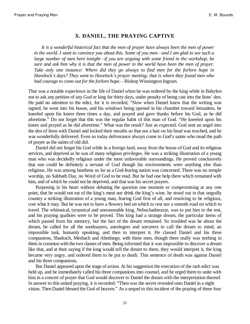#### **X. DANIEL, THE PRAYING CAPTIVE**

*It is a wonderful historical fact that the men of prayer have always been the men of power in the world. I want to convince you about this. Some of you men—and I am glad to see such a large number of men here tonight—if you are arguing with some friend in the workshop, be sure and ask him why it is that the men of power in the world have been the men of prayer. Take only one instance: Where did they go always to find men for the forlorn hope in Havelock¶s days? They went to Havelock¶s prayer meeting; that is where they found men who had courage to come out for the forlorn hope.—Bishop Winnington Ingram.* 

That was a notable experience in the life of Daniel when he was ordered by the king while in Babylon not to ask any petition of any God or king for thirty days, under penalty of being cast into the lions' den. He paid no attention to the edict, for it is recorded, "Now when Daniel knew that the writing was signed, he went into his house, and his windows being opened in his chamber toward Jerusalem, he kneeled upon his knees three times a day, and prayed and gave thanks before his God, as he did aforetime." Do not forget that this was the regular habit of this man of God. "He kneeled upon his knees and prayed as he did aforetime." What was the result? Just as expected. God sent an angel into the den of lions with Daniel and locked their mouths so that not a hair on his head was touched, and he was wonderfully delivered. Even so today deliverance always come to God's saints who tread the path of prayer as the saints of old did.

Daniel did not forget his God while in a foreign land, away from the house of God and its religious services, and deprived as he was of many religious privileges. He was a striking illustration of a young man who was decidedly religious under the most unfavorable surroundings. He proved conclusively that one could be definitely a servant of God though his environments were anything else than religious. He was among heathens so far as a God-fearing nation was concerned. There was no temple worship, no Sabbath Day, no Word of God to be read. But he had one help there which remained with him, and of which he could not be deprived, and that was his secret prayers.

Purposing in his heart without debating the question one moment or compromising at any one point, that he would not eat of the king's meat nor drink the king's wine, he stood out in that ungodly country a striking illustration of a young man, fearing God first of all, and resolving to be religious, cost what it may. But he was not to have a flowery bed on which to rest nor a smooth road on which to travel. The whimsical, tyrannical and unreasonable king, Nebuchadnezzar, was to put him to the test, and his praying qualities were to be proved. This king had a strange dream, the particular items of which passed from his memory, but the fact of the dream remained. So troubled was he about the dream, he called for all the soothsayers, astrologers and sorcerers to call the dream to mind, an impossible task, humanly speaking, and then to interpret it. He classed Daniel and his three companions, Shadrach, Meshach and Abednego, with these men, though there really was nothing in them in common with the two classes of men. Being informed that it was impossible to discover a dream like that, and at their saying if the king would tell the dream to them, they would interpret it, the king became very angry, and ordered them to be put to death. This sentence of death was against Daniel and his three companions.

But Daniel appeared upon the stage of action. At his suggestion the execution of the rash edict was held up, and he immediately called his three companions into counsel, and he urged them to unite with him in a concert of prayer that God would discover to Daniel the dream with the interpretation thereof. In answer to this united praying, it is recorded: "Then was the secret revealed unto Daniel in a night vision. Then Daniel blessed the God of heaven." As a sequel to this incident of the praying of these four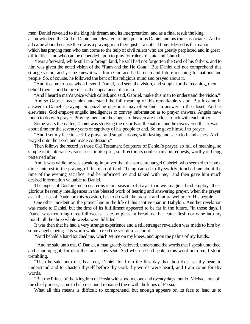men, Daniel revealed to the king his dream and its interpretation, and as a final result the king acknowledged the God of Daniel and elevated to high positions Daniel and his three associates. And it all came about because there was a praying man there just at a critical time. Blessed is that nation which has praying men who can come to the help of civil rulers who are greatly perplexed and in great difficulties, and who can be depended upon to pray for rulers of state and Church.

Years afterward, while still in a foreign land, he still had not forgotten the God of his fathers, and to him was given the noted vision of the "Ram and the He Goat," But Daniel did not comprehend this strange vision, and yet he knew it was from God and had a deep and future meaning for nations and people. So, of course, he followed the bent of his religious mind and prayed about it.

"And it came to pass when I even I Daniel, had seen the vision, and sought for the meaning, then behold there stood before me as the appearance of a man.

"And I heard a man's voice which called, and said, Gabriel, make this man to understand the vision."

And so Gabriel made him understand the full meaning of this remarkable vision. But it came in answer to Daniel's praying. So puzzling questions may often find an answer in the closet. And as elsewhere, God employs angelic intelligences to convey information as to prayer answers. Angels have much to do with prayer. Praying men and the angels of heaven are in close touch with each other.

Some years thereafter, Daniel was studying the records of the nation, and he discovered that it was about time for the seventy years of captivity of his people to end. So he gave himself to prayer:

"And I set my face to seek by prayer and supplications, with fasting and sackcloth and ashes. And I prayed unto the Lord, and made confession."

Then follows the record in those Old Testament Scriptures of Daniel's prayer, so full of meaning, so simple in its utterances, so earnest in its spirit, so direct in its confession and requests, worthy of being patterned after.

And it was while he was speaking in prayer that the same archangel Gabriel, who seemed to have a direct interest in the praying of this man of God, "being caused to fly swiftly, touched me about the time of the evening sacrifice, and he informed me and talked with me," and then gave him much desired information valuable to Daniel.

The angels of God are much nearer us in our seasons of prayer than we imagine. God employs these glorious heavenly intelligences in the blessed work of hearing and answering prayer, when the prayer, as in the case of Daniel on this occasion, has to do with the present and future welfare of His people.

One other incident on the prayer line in the life of this captive man in Babylon. Another revelation was made to Daniel, but the time of its fulfillment appeared to be far in the future. "In those days, I Daniel was mourning three full weeks. I ate no pleasant bread, neither came flesh nor wine into my mouth till the three whole weeks were fulfilled."

It was then that he had a very strange experience and a still stranger revelation was made to him by some angelic being. It is worth while to read the scripture account:

"And behold a hand touched me, which set me on my knees, and upon the palms of my hands.

 "And he said unto me, O Daniel, a man greatly beloved, understand the words that I speak unto thee, and stand upright, for unto thee am I now sent. And when he had spoken this word unto me, I stood trembling.

"Then he said unto me, Fear not, Daniel; for from the first day that thou didst set thy heart to understand and to chasten thyself before thy God, thy words were heard, and I am come for thy words.

"But the Prince of the Kingdom of Persia withstood me one and twenty days; but lo, Michael, one of the chief princes, came to help me, and I remained there with the kings of Persia."

What all this means is difficult to comprehend, but enough appears on its face to lead us to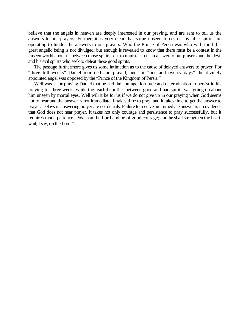believe that the angels in heaven are deeply interested in our praying, and are sent to tell us the answers to our prayers. Further, it is very clear that some unseen forces or invisible spirits are operating to hinder the answers to our prayers. Who the Prince of Persia was who withstood this great angelic being is not divulged, but enough is revealed to know that there must be a contest in the unseen world about us between those spirits sent to minister to us in answer to our prayers and the devil and his evil spirits who seek to defeat these good spirits.

The passage furthermore gives us some intimation as to the cause of delayed answers to prayer. For "three full weeks" Daniel mourned and prayed, and for "one and twenty days" the divinely appointed angel was opposed by the "Prince of the Kingdom of Persia."

Well was it for praying Daniel that he had the courage, fortitude and determination to persist in his praying for three weeks while the fearful conflict between good and bad spirits was going on about him unseen by mortal eyes. Well will it be for us if we do not give up in our praying when God seems not to hear and the answer is not immediate. It takes time to pray, and it takes time to get the answer to prayer. Delays in answering prayer are not denials. Failure to receive an immediate answer is no evidence that God does not hear prayer. It takes not only courage and persistence to pray successfully, but it requires much patience. "Wait on the Lord and be of good courage; and he shall strengthen thy heart; wait, I say, on the Lord."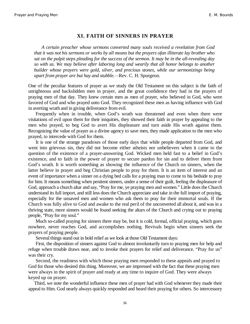#### **XI. FAITH OF SINNERS IN PRAYER**

*A certain preacher whose sermons converted many souls received a revelation from God that it was not his sermons or works by all means but the prayers ofan illiterate lay brother who sat on the pulpit steps pleading for the success of the sermon. It may be in the all-revealing day so with us. We may believe after laboring long and wearily that all honor belongs to another builder whose prayers were gold, silver, and precious stones, while our sermonizings being apart from prayer are but hay and stubble.—Rev. C. H. Spurgeon.* 

One of the peculiar features of prayer as we study the Old Testament on this subject is the faith of unrighteous and backslidden men in prayer, and the great confidence they had in the prayers of praying men of that day. They knew certain men as men of prayer, who believed in God, who were favored of God and who prayed unto God. They recognized these men as having influence with God in averting wrath and in giving deliverance from evil.

Frequently when in trouble, when God's wrath was threatened and even when there were visitations of evil upon them for their iniquities, they showed their faith in prayer by appealing to the men who prayed, to beg God to avert His displeasure and turn aside His wrath against them. Recognizing the value of prayer as a divine agency to save men, they made application to the men who prayed, to intercede with God for them.

It is one of the strange paradoxes of those early days that while people departed from God, and went into grievous sin, they did not become either atheists nor unbelievers when it came to the question of the existence of a prayer-answering God. Wicked men held fast to a belief in God's existence, and to faith in the power of prayer to secure pardon for sin and to deliver them from God's wrath. It is worth something as showing the influence of the Church on sinners, when the latter believe in prayer and beg Christian people to pray for them. It is an item of interest and an event of importance when a sinner on a dying bed calls for a praying man to come to his bedside to pray for him. It means something when penitent sinners, under a sense of their guilt, feeling the displeasure of God, approach a church altar and say, "Pray for me, ye praying men and women." Little does the Church understand its full import, and still less does the Church appreciate and take in the full import of praying, especially for the unsaved men and women who ask them to pray for their immortal souls. If the Church was fully alive to God and awake to the real peril of the unconverted all about it, and was in a thriving state, more sinners would be found seeking the altars of the Church and crying out to praying people, "Pray for my soul."

Much so-called praying for sinners there may be, but it is cold, formal, official praying, which goes nowhere, never reaches God, and accomplishes nothing. Revivals begin when sinners seek the prayers of praying people.

Several things stand out in bold relief as we look at those Old Testament days:

First, the disposition of sinners against God to almost involuntarily turn to praying men for help and refuge when trouble draws near, and to invoke their prayers for relief and deliverance. "Pray for us" was their cry.

Second, the readiness with which those praying men responded to these appeals and prayed to God for those who desired this thing. Moreover, we are impressed with the fact that these praying men were always in the spirit of prayer and ready at any time to inquire of God. They were always keyed up on prayer.

Third, we note the wonderful influence these men of prayer had with God whenever they made their appeal to Him. God nearly always quickly responded and heard their praying for others. So intercessory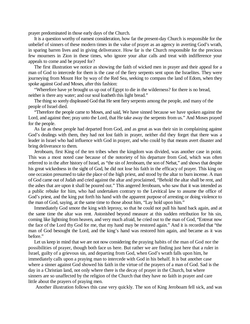prayer predominated in those early days of the Church.

It is a question worthy of earnest consideration, how far the present-day Church is responsible for the unbelief of sinners of these modern times in the value of prayer as an agency in averting God's wrath, in sparing barren lives and in giving deliverance. How far is the Church responsible for the precious few mourners in Zion in these times, who ignore your altar calls and treat with indifference your appeals to come and be prayed for?

The first illustration we notice as showing the faith of wicked men in prayer and their appeal for a man of God to intercede for them is the case of the fiery serpents sent upon the Israelites. They were journeying from Mount Hor by way of the Red Sea, seeking to compass the land of Edom, when they spoke against God and Moses, after this fashion:

"Wherefore have ye brought us up out of Egypt to die in the wilderness? for there is no bread, neither is there any water; and our soul loatheth this light bread."

The thing so sorely displeased God that He sent fiery serpents among the people, and many of the people of Israel died.

"Therefore the people came to Moses, and said, We have sinned because we have spoken against the Lord, and against thee; pray unto the Lord, that He take away the serpents from us." And Moses prayed for the people.

As far as these people had departed from God, and as great as was their sin in complaining against God's dealings with them, they had not lost faith in prayer, neither did they forget that there was a leader in Israel who had influence with God in prayer, and who could by that means avert disaster and bring deliverance to them.

Jeroboam, first King of the ten tribes when the kingdom was divided, was another case in point. This was a most noted case because of the notoriety of his departure from God, which was often referred to in the after history of Israel, as "the sin of Jeroboam, the son of Nebat," and shows that despite his great wickedness in the sight of God, he did not lose his faith in the efficacy of prayer. This king on one occasion presumed to take the place of the high priest, and stood by the altar to burn incense. A man of God came out of Judah and cried against the altar and proclaimed, "Behold the altar shall be rent, and the ashes that are upon it shall be poured out." This angered Jeroboam, who saw that it was intended as a public rebuke for him, who had undertaken contrary to the Levitical law to assume the office of God's priest, and the king put forth his hand with the apparent purpose of arresting or doing violence to the man of God, saying, at the same time to those about him, "Lay hold upon him."

Immediately God smote the king with leprosy, so that he could not pull his hand back again, and at the same time the altar was rent. Astonished beyond measure at this sudden retribution for his sin, coming like lightning from heaven, and very much afraid, he cried out to the man of God, "Entreat now the face of the Lord thy God for me, that my hand may be restored again." And it is recorded that "the man of God besought the Lord, and the king's hand was restored him again, and became as it was before."

Let us keep in mind that we are not now considering the praying habits of the man of God nor the possibilities of prayer, though both face us here. But rather we are finding just here that a ruler in Israel, guilty of a grievous sin, and departing from God, when God's wrath falls upon him, he immediately calls upon a praying man to intercede with God in his behalf. It is but another case where a sinner against God showed his faith in the virtue of the prayers of a man of God. Sad is the day in a Christian land, not only where there is the decay of prayer in the Church, but where sinners are so unaffected by the religion of the Church that they have no faith in prayer and care little about the prayers of praying men.

Another illustration follows this case very quickly. The son of King Jeroboam fell sick, and was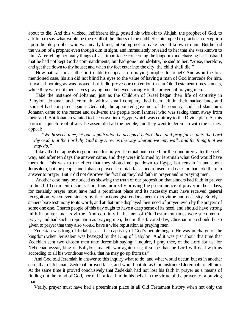about to die. And this wicked, indifferent king, posted his wife off to Ahijah, the prophet of God, to ask him to say what would be the result of the illness of the child. She attempted to practice a deception upon the old prophet who was nearly blind, intending not to make herself known to him. But he had the vision of a prophet even though dim in sight, and immediately revealed to her that she was known to him. After telling her many things of vast importance concerning the kingdom and charging her husband that he had not kept God's commandments, but had gone into idolatry, he said to her: "Arise, therefore, and get thee down to thy house; and when thy feet enter into the city, the child shall die."

How natural for a father in trouble to appeal to a praying prophet for relief? And as in the first mentioned case, his sin did not blind his eyes to the value of having a man of God intercede for him. It availed nothing as was proved, but it did prove our contention that in Old Testament times sinners, while they were not themselves praying men, believed strongly in the prayers of praying men.

Take the instance of Johanan, just as the Children of Israel began their life of captivity in Babylon. Johanan and Jeremiah, with a small company, had been left in their native land, and Ishmael had conspired against Gedaliah, the appointed governor of the country, and had slain him. Johanan came to the rescue and delivered the people from Ishmael who was taking them away from their land. But Johanan wanted to flee down into Egypt, which was contrary to the Divine plan. At this particular juncture of affairs, he assembled all the people, and they went to Jeremiah with the earnest appeal:

*³We beseech thee, let our supplication be accepted before thee, and pray for us unto the Lord thy God, that the Lord thy God may show us the way wherein we may walk, and the thing that we may do.´*

Like all other appeals to good men for prayer, Jeremiah interceded for these inquirers after the right way, and after ten days the answer came, and they were informed by Jeremiah what God would have them do. This was to the effect that they should not go down to Egypt, but remain in and about Jerusalem, but the people and Johanan played Jeremiah false, and refused to do as God had told them in answer to prayer. But it did not disprove the fact that they had faith in prayer and in praying men.

Another case may be noticed as showing the truth of our proposition that sinners had faith in prayer in the Old Testament dispensation, thus indirectly proving the preeminence of prayer in those days, for certainly prayer must have had a prominent place and its necessity must have received general recognition, when even sinners by their actions give endorsement to its virtue and necessity. Surely if sinners bore testimony to its worth, and at that time displayed their need of prayer, even by the prayers of some one else, Church people of this day ought to have a deep sense of its need, and should have strong faith in prayer and its virtue. And certainly if the men of Old Testament times were such men of prayer, and had such a reputation as praying men, then in this favored day, Christian men should be so given to prayer that they also would have a wide reputation as praying men.

Zedekiah was king of Judah just as the captivity of God's people began. He was in charge of the kingdom when Jerusalem was besieged by the King of Babylon. And it was just about this time that Zedekiah sent two chosen men unto Jeremiah saying: "Inquire, I pray thee, of the Lord for us; for Nebuchadnezzar, king of Babylon, maketh war against us; if so be that the Lord will deal with us according to all his wondrous works, that he may go up from us."

And God told Jeremiah in answer to this inquiry what to do, and what would occur, but as in another case, that of Johanan, Zedekiah proved false, and would not do as God instructed Jeremiah to tell him. At the same time it proved conclusively that Zedekiah had not lost his faith in prayer as a means of finding out the mind of God, nor did it affect him in his belief in the virtue of the prayers of a praying man.

Verily, prayer must have had a preeminent place in all Old Testament history when not only the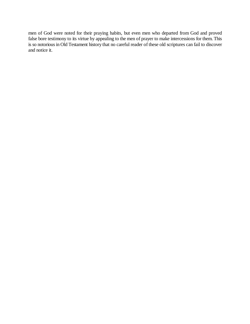men of God were noted for their praying habits, but even men who departed from God and proved false bore testimony to its virtue by appealing to the men of prayer to make intercessions for them. This is so notorious in Old Testament history that no careful reader of these old scriptures can fail to discover and notice it.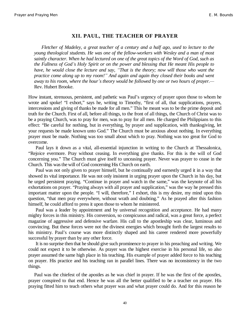#### **XII. PAUL, THE TEACHER OF PRAYER**

*Fletcher of Madeley, a great teacher of a century and a half ago, used to lecture to the young theological students. He was one of the fellow-workers with Wesley and a man of most saintly character. When he had lectured on one of the great topics of the Word of God, such as the Fullness of God¶s Holy Spirit or on the power and blessing that He meant His people to have, he would close the lecture and say, ³That is the theory; now will those who want the practice come along up to my room!´ And again and again they closed their books and went away to his room, where the hour's theory would be followed by one or two hours of prayer.*— Rev. Hubert Brooke.

How instant, strenuous, persistent, and pathetic was Paul's urgency of prayer upon those to whom he wrote and spoke! "I exhort," says he, writing to Timothy, "first of all, that supplications, prayers, intercessions and giving of thanks be made for all men." This he meant was to be the prime deposit and truth for the Church. First of all, before all things, to the front of all things, the Church of Christ was to be a praying Church, was to pray for men, was to pray for all men. He charged the Philippians to this effect: "Be careful for nothing, but in everything, by prayer and supplication, with thanksgiving, let your requests be made known unto God." The Church must be anxious about nothing. In everything prayer must be made. Nothing was too small about which to pray. Nothing was too great for God to overcome.

Paul lays it down as a vital, all-essential injunction in writing to the Church at Thessalonica, "Rejoice evermore. Pray without ceasing. In everything give thanks. For this is the will of God concerning you." The Church must give itself to unceasing prayer. Never was prayer to cease in the Church. This was the will of God concerning His Church on earth.

Paul was not only given to prayer himself, but he continually and earnestly urged it in a way that showed its vital importance. He was not only insistent in urging prayer upon the Church in his day, but he urged persistent praying. "Continue in prayer and watch in the same," was the keynote of all his exhortations on prayer. "Praying always with all prayer and supplication," was the way he pressed this important matter upon the people. "I will, therefore," I exhort, this is my desire, my mind upon this question, "that men pray everywhere, without wrath and doubting." As he prayed after this fashion himself, he could afford to press it upon those to whom he ministered.

Paul was a leader by appointment and by universal recognition and acceptance. He had many mighty forces in this ministry. His conversion, so conspicuous and radical, was a great force, a perfect magazine of aggressive and defensive warfare. His call to the apostleship was clear, luminous and convincing. But these forces were not the divinest energies which brought forth the largest results to his ministry. Paul's course was more distinctly shaped and his career rendered more powerfully successful by prayer than by any other force.

It is no surprise then that he should give such prominence to prayer in his preaching and writing. We could not expect it to be otherwise. As prayer was the highest exercise in his personal life, so also prayer assumed the same high place in his teaching. His example of prayer added force to his teaching on prayer. His practice and his teaching ran in parallel lines. There was no inconsistency in the two things.

Paul was the chiefest of the apostles as he was chief in prayer. If he was the first of the apostles, prayer conspired to that end. Hence he was all the better qualified to be a teacher on prayer. His praying fitted him to teach others what prayer was and what prayer could do. And for this reason he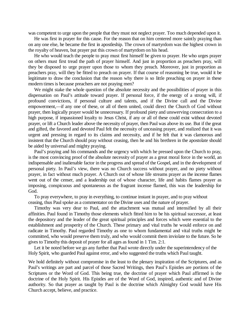was competent to urge upon the people that they must not neglect prayer. Too much depended upon it.

He was first in prayer for this cause. For the reason that on him centered more saintly praying than on any one else, he became the first in apostleship. The crown of martyrdom was the highest crown in the royalty of heaven, but prayer put this crown of martyrdom on his head.

He who would teach the people to pray must first himself be given to prayer. He who urges prayer on others must first tread the path of prayer himself. And just in proportion as preachers pray, will they be disposed to urge prayer upon those to whom they preach. Moreover, just in proportion as preachers pray, will they be fitted to preach on prayer. If that course of reasoning be true, would it be legitimate to draw the conclusion that the reason why there is so little preaching on prayer in these modern times is because preachers are not praying men?

We might stake the whole question of the absolute necessity and the possibilities of prayer in this dispensation on Paul's attitude toward prayer. If personal force, if the energy of a strong will, if profound convictions, if personal culture and talents, and if the Divine call and the Divine empowerment,—if any one of these, or all of them united, could direct the Church of God without prayer, then logically prayer would be unnecessary. If profound piety and unswerving consecration to a high purpose, if impassioned loyalty to Jesus Christ, if any or all of these could exist without devoted prayer, or lift a Church leader above the necessity of prayer, then Paul was above its use. But if the great and gifted, the favored and devoted Paul felt the necessity of unceasing prayer, and realized that it was urgent and pressing in regard to its claims and necessity, and if he felt that it was clamorous and insistent that the Church should pray without ceasing, then he and his brethren in the apostolate should be aided by universal and mighty praying.

Paul's praying and his commands and the urgency with which he pressed upon the Church to pray, is the most convincing proof of the absolute necessity of prayer as a great moral force in the world, an indispensable and inalienable factor in the progress and spread of the Gospel, and in the development of personal piety. In Paul's view, there was no Church success without prayer, and no piety without prayer, in fact without much prayer. A Church out of whose life streams prayer as the incense flames went out of the censer, and a leadership out of whose character, life and habits flames prayer as imposing, conspicuous and spontaneous as the fragrant incense flamed, this was the leadership for God.

To pray everywhere, to pray in everything, to continue instant in prayer, and to pray without ceasing, thus Paul spoke as a commentator on the Divine uses and the nature of prayer.

Timothy was very dear to Paul, and the attachment was mutual and intensified by all their affinities. Paul found in Timothy those elements which fitted him to be his spiritual successor, at least the depository and the leader of the great spiritual principles and forces which were essential to the establishment and prosperity of the Church. These primary and vital truths he would enforce on and radicate in Timothy. Paul regarded Timothy as one to whom fundamental and vital truths might be committed, who would preserve them truly, and who would commit them inviolate to the future. So he gives to Timothy this deposit of prayer for all ages as found in 1 Tim. 2:1.

Let it be noted before we go any further that Paul wrote directly under the superintendency of the Holy Spirit, who guarded Paul against error, and who suggested the truths which Paul taught.

We hold definitely without compromise in the least to the plenary inspiration of the Scriptures, and as Paul's writings are part and parcel of those Sacred Writings, then Paul's Epistles are portions of the Scriptures or the Word of God. This being true, the doctrine of prayer which Paul affirmed is the doctrine of the Holy Spirit. His Epistles are of the Word of God, inspired, authentic and of Divine authority. So that prayer as taught by Paul is the doctrine which Almighty God would have His Church accept, believe, and practice.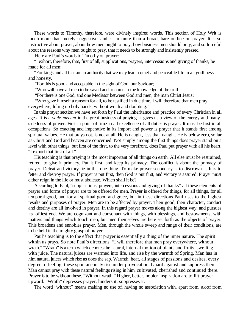These words to Timothy, therefore, were divinely inspired words. This section of Holy Writ is much more than merely suggestive, and is far more than a broad, bare outline on prayer. It is so instructive about prayer, about how men ought to pray, how business men should pray, and so forceful about the reasons why men ought to pray, that it needs to be strongly and insistently pressed.

Here are Paul's words to Timothy on prayer:

"I exhort, therefore, that, first of all, supplications, prayers, intercessions and giving of thanks, be made for all men;

"For kings and all that are in authority that we may lead a quiet and peaceable life in all godliness and honesty.

"For this is good and acceptable in the sight of God, our Saviour;

"Who will have all men to be saved and to come to the knowledge of the truth.

"For there is one God, and one Mediator between God and men, the man Christ Jesus;

"Who gave himself a ransom for all, to be testified in due time. I will therefore that men pray everywhere, lifting up holy hands, without wrath and doubting."

In this prayer section we have set forth by Paul the inheritance and practice of every Christian in all ages. It is a *vade mecum* in the great business of praying. it gives us a view of the energy and manysidedness of prayer. First in point of time in all excellence of all duties is prayer. It must be first in all occupations. So exacting and imperative in its import and power is prayer that it stands first among spiritual values. He that prays not, is not at all. He is naught, less than naught. He is below zero, so far as Christ and God and heaven are concerned. Not simply among the first things does prayer stand on a level with other things, but first of the first, to the very forefront, does Paul put prayer with all his heart. "I exhort that first of all."

His teaching is that praying is the most important of all things on earth. All else must be restrained, retired, to give it primacy. Put it first, and keep its primacy. The conflict is about the primacy of prayer. Defeat and victory lie in this one thing. To make prayer secondary is to discrown it. It is to fetter and destroy prayer. If prayer is put first, then God is put first, and victory is assured. Prayer must either reign in the life or must abdicate. Which shall it be?

According to Paul, "supplications, prayers, intercessions and giving of thanks" all these elements of prayer and forms of prayer are to be offered for men. Prayer is offered for things, for all things, for all temporal good, and for all spiritual good and grace, but in these directions Paul rises to the highest results and purposes of prayer. Men are to be affected by prayer. Their good, their character, conduct and destiny are all involved in prayer. In this regard prayer moves along the highest way, and pursues its loftiest end. We are cognizant and consonant with things, with blessings, and bestowments, with matters and things which touch men, but men themselves are here set forth as the objects of prayer. This broadens and ennobles prayer. Men, through the whole sweep and range of their conditions, are to be held in the mighty grasp of prayer.

Paul's teaching is to the effect that prayer is essentially a thing of the inner nature. The spirit within us prays. So note Paul's directions: "I will therefore that men pray everywhere, without wrath." "Wrath" is a term which denotes the natural, internal motion of plants and fruits, swelling with juice. The natural juices are warmed into life, and rise by the warmth of Spring. Man has in him natural juices which rise as does the sap. Warmth, heat, all stages of passions and desires, every degree of feeling, these spontaneously rise under provocation. Guard against and suppress them. Man cannot pray with these natural feelings rising in him, cultivated, cherished and continued there. Prayer is to be without these. "Without wrath." Higher, better, nobler inspiration are to lift prayer upward. "Wrath" depresses prayer, hinders it, suppresses it.

The word "without" means making no use of, having no association with, apart from, aloof from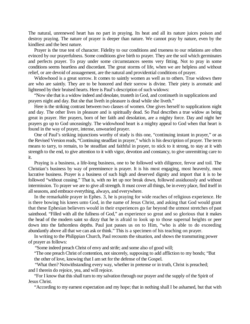The natural, unrenewed heart has no part in praying. Its heat and all its nature juices poison and destroy praying. The nature of prayer is deeper than nature. We cannot pray by nature, even by the kindliest and the best nature.

Prayer is the true test of character. Fidelity to our conditions and trueness to our relations are often evinced by our prayerfulness. Some conditions give birth to prayer. They are the soil which germinates and perfects prayer. To pray under some circumstances seems very fitting. Not to pray in some conditions seems heartless and discordant. The great storms of life, when we are helpless and without relief, or are devoid of assuagement, are the natural and providential conditions of prayer.

Widowhood is a great sorrow. It comes to saintly women as well as to others. True widows there are who are saintly. They are to be honored and their sorrow is divine. Their piety is aromatic and lightened by their bruised hearts. Here is Paul's description of such widows:

"Now she that is a widow indeed and desolate, trusteth in God, and continueth in supplications and prayers night and day. But she that liveth in pleasure is dead while she liveth."

Here is the striking contrast between two classes of women. One gives herself to supplications night and day. The other lives in pleasure and is spiritually dead. So Paul describes a true widow as being great in prayer. Her prayers, born of her faith and desolation, are a mighty force. Day and night her prayers go up to God unceasingly. The widowhood heart is a mighty appeal to God when that heart is found in the way of prayer, intense, unwearied prayer.

One of Paul's striking injunctions worthy of study is this one, "continuing instant in prayer," or as the Revised Version reads, "Continuing steadfast in prayer," which is his description of prayer. The term means to tarry, to remain, to be steadfast and faithful in prayer, to stick to it strong, to stay at it with strength to the end, to give attention to it with vigor, devotion and constancy, to give unremitting care to it.

Praying is a business, a life-long business, one to be followed with diligence, fervor and toil. The Christian's business by way of preeminence is prayer. It is his most engaging, most heavenly, most lucrative business. Prayer is a business of such high and deserved dignity and import that it is to be followed "without ceasing." That is, with no let up nor break down, followed assiduously and without intermission. To prayer we are to give all strength. It must cover all things, be in every place, find itself in all seasons, and embrace everything, always, and everywhere.

In the remarkable prayer in Ephes. 3, he is praying for wide reaches of religious experience. He is there bowing his knees unto God, in the name of Jesus Christ, and asking that God would grant that these Ephesian believers would in their experiences go far beyond the utmost stretches of past sainthood. "Filled with all the fullness of God," an experience so great and so glorious that it makes the head of the modern saint so dizzy that he is afraid to look up to those supernal heights or peer down into the fathomless depths. Paul just passes us on to Him, "who is able to do exceeding abundantly above all that we can ask or think." This is a specimen of his teaching on prayer.

In writing to the Philippian Church, Paul recounts the situation, and shows the transmuting power of prayer as follows:

"Some indeed preach Christ of envy and strife; and some also of good will;

"The one preach Christ of contention, not sincerely, supposing to add affliction to my bonds; "But the other of love, knowing that I am set for the defense of the Gospel.

"What then? Notwithstanding every way, whether in pretense or in truth, Christ is preached; and I therein do rejoice, yea, and will rejoice.

"For I know that this shall turn to my salvation through our prayer and the supply of the Spirit of Jesus Christ.

"According to my earnest expectation and my hope; that in nothing shall I be ashamed, but that with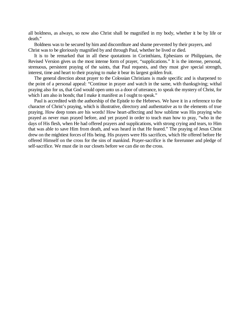all boldness, as always, so now also Christ shall be magnified in my body, whether it be by life or death."

Boldness was to be secured by him and discomfiture and shame prevented by their prayers, and Christ was to be gloriously magnified by and through Paul, whether he lived or died.

It is to be remarked that in all these quotations in Corinthians, Ephesians or Philippians, the Revised Version gives us the most intense form of prayer, "supplications." It is the intense, personal, strenuous, persistent praying of the saints, that Paul requests, and they must give special strength, interest, time and heart to their praying to make it bear its largest golden fruit.

The general direction about prayer to the Colossian Christians is made specific and is sharpened to the point of a personal appeal: "Continue in prayer and watch in the same, with thanksgiving; withal praying also for us, that God would open unto us a door of utterance, to speak the mystery of Christ, for which I am also in bonds; that I make it manifest as I ought to speak."

Paul is accredited with the authorship of the Epistle to the Hebrews. We have it in a reference to the character of Christ's praying, which is illustrative, directory and authentative as to the elements of true praying. How deep tones are his words! How heart-affecting and how sublime was His praying who prayed as never man prayed before, and yet prayed in order to teach man how to pray, "who in the days of His flesh, when He had offered prayers and supplications, with strong crying and tears, to Him that was able to save Him from death, and was heard in that He feared." The praying of Jesus Christ drew on the mightiest forces of His being. His prayers were His sacrifices, which He offered before He offered Himself on the cross for the sins of mankind. Prayer-sacrifice is the forerunner and pledge of self-sacrifice. We must die in our closets before we can die on the cross.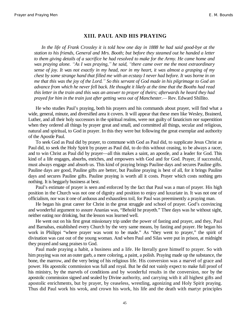#### **XIII. PAUL AND HIS PRAYING**

*In the life of Frank Crossley it is told how one day in 1888 he had said good-bye at the station to his friends, General and Mrs. Booth; but before they steamed out he handed a letter to them giving details of a sacrifice he had resolved to make for the Army. He came home and was praying alone. "As I was praying," he said, "there came over me the most extraordinary sense of joy. It was not exactly in my head, nor in my heart, it was almost a grasping of my chest by some strange hand that filled me with an ecstasy I never had before. It was borne in on me that this was the joy of the Lord.´ So this servant of God made in his pilgrimage to God an advance from which he never fell back. He thought it likely at the time that the Booths had read this letter in the train and this was an answer to prayer of theirs; afterwards he heard they had prayed for him in the train just after getting wess out of Manchester.²* Rev. Edward Shillito.

He who studies Paul's praying, both his prayers and his commands about prayer, will find what a wide, general, minute, and diversified area it covers. It will appear that these men like Wesley, Brainerd, Luther, and all their holy successors in the spiritual realms, were not guilty of fanaticism nor superstition when they ordered all things by prayer great and small, and committed all things, secular and religious, natural and spiritual, to God in prayer. In this they were but following the great exemplar and authority of the Apostle Paul.

To seek God as Paul did by prayer, to commune with God as Paul did, to supplicate Jesus Christ as Paul did, to seek the Holy Spirit by prayer as Paul did, to do this without ceasing, to be always a racer, and to win Christ as Paul did by prayer—all this makes a saint, an apostle, and a leader for God. This kind of a life engages, absorbs, enriches, and empowers with God and for God. Prayer, if successful, must always engage and absorb us. This kind of praying brings Pauline days and secures Pauline gifts. Pauline days are good, Pauline gifts are better, but Pauline praying is best of all, for it brings Pauline days and secures Pauline gifts. Pauline praying is worth all it costs. Prayer which costs nothing gets nothing. It is beggarly business at best.

Paul's estimate of prayer is seen and enforced by the fact that Paul was a man of prayer. His high position in the Church was not one of dignity and position to enjoy and luxuriate in. It was not one of officialism, nor was it one of arduous and exhaustless toil, for Paul was preeminently a praying man.

He began his great career for Christ in the great struggle and school of prayer. God's convincing and wonderful argument to assure Ananias was, "Behold he prayeth." Thee days was he without sight, neither eating nor drinking, but the lesson was learned well.

He went out on his first great missionary trip under the power of fasting and prayer, and they, Paul and Barnabas, established every Church by the very same means, by fasting and prayer. He began his work in Philippi "where prayer was wont to be made." As "they went to prayer," the spirit of divination was cast out of the young woman. And when Paul and Silas were put in prison, at midnight they prayed and sang praises to God.

Paul made praying a habit, a business and a life. He literally gave himself to prayer. So with him praying was not an outer garb, a mere coloring, a paint, a polish. Praying made up the substance, the bone, the marrow, and the very being of his religious life. His conversion was a marvel of grace and power. His apostolic commission was full and royal. But he did not vainly expect to make full proof of his ministry, by the marvels of conditions and by wonderful results in the conversion, nor by the apostolic commission signed and sealed by Divine authority, and carrying with it all highest gifts and apostolic enrichments, but by prayer, by ceaseless, wrestling, agonizing and Holy Spirit praying. Thus did Paul work his wrok, and crown his work, his life and the death with martyr principles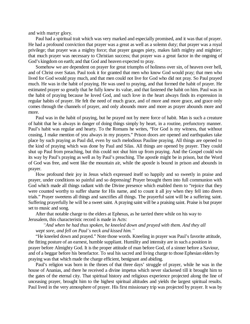and with martyr glory.

Paul had a spiritual trait which was very marked and especially promised, and it was that of prayer. He had a profound conviction that prayer was a great as well as a solemn duty; that prayer was a royal privilege; that prayer was a mighty force; that prayer gauges piety, makes faith mighty and mightier; that much prayer was necessary to Christian success; that prayer was a great factor in the ongoing of God's kingdom on earth; and that God and heaven expected to pray.

Somehow we are dependent on prayer for great triumphs of holiness over sin, of heaven over hell, and of Christ over Satan. Paul took it for granted that men who know God would pray; that men who lived for God would pray much, and that men could not live for God who did not pray. So Paul prayed much. He was in the habit of praying. He was used to praying, and that formed the habit of prayer. He estimated prayer so greatly that he fully knew its value, and that fastened the habit on him. Paul was in the habit of praying because he loved God, and such love in the heart always finds its expression in regular habits of prayer. He felt the need of much grace, and of more and more grace, and grace only comes through the channels of prayer, and only abounds more and more as prayer abounds more and more.

Paul was in the habit of praying, but he prayed not by mere force of habit. Man is such a creature of habit that he is always in danger of doing things simply by heart, in a routine, prefunctory manner. Paul's habit was regular and hearty. To the Romans he writes, "For God is my witness, that without ceasing, I make mention of you always in my prayers." Prison doors are opened and earthquakes take place by such praying as Paul did, even by such melodious Pauline praying. All things are opened to the kind of praying which was done by Paul and Silas. All things are opened by prayer. They could shut up Paul from preaching, but this could not shut him up from praying. And the Gospel could win its way by Paul's praying as well as by Paul's preaching. The apostle might be in prison, but the Word of God was free, and went like the mountain air, while the apostle is bound in prison and abounds in prayer.

How profound their joy in Jesus which expressed itself so happily and so sweetly in praise and prayer, under conditions so painful and so depressing! Prayer brought them into full communion with God which made all things radiant with the Divine presence which enabled them to "rejoice that they were counted worthy to suffer shame for His name, and to count it all joy when they fell into divers trials." Prayer sweetens all things and sanctifies all things. The prayerful saint will be a suffering saint. Suffering prayerfully he will be a sweet saint. A praying saint will be a praising saint. Praise is but prayer set to music and song.

After that notable charge to the elders at Ephesus, as he tarried there while on his way to Jerusalem, this characteristic record is made in Acts:

#### *³And when he had thus spoken, he kneeled down and prayed with them. And they all wept sore, and fell on Paul¶s neck and kissed him.´*

"He kneeled down and prayed." Note those words. Kneeling in prayer was Paul's favorite attitude, the fitting posture of an earnest, humble suppliant. Humility and intensity are in such a position in prayer before Almighty God. It is the proper attitude of man before God, of a sinner before a Saviour, and of a beggar before his benefactor. To seal his sacred and living charge to those Ephesian elders by praying was that which made the charge efficient, benignant and abiding.

Paul's religion was born in the throes of that three days' struggle of prayer, while he was in the house of Ananias, and there he received a divine impetus which never slackened till it brought him to the gates of the eternal city. That spiritual history and religious experience projected along the line of unceasing prayer, brought him to the highest spiritual altitudes and yields the largest spiritual results. Paul lived in the very atmosphere of prayer. His first missionary trip was projected by prayer. It was by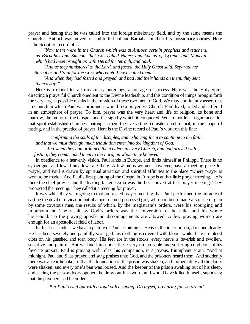prayer and fasting that he was called into the foreign missionary field, and by the same means the Church at Antioch was moved to send forth Paul and Barnabas on their first missionary journey. Here is the Scripture record of it:

*³Now there were in the Church which was at Antioch certain prophets and teachers, as Barnabas and Simeon, that was called Niger; and Lucius of Cyrene, and Manean, which had been brought up with Herod the tetrach, and Saul.*

*³And as they ministered to the Lord, and fasted, the Holy Ghost said, Separate me Barnabas and Saul for the work whereunto I have called them.*

*³And when they had fasted and prayed, and had laid their hands on them, they sent them away.´*

Here is a model for all missionary outgoings, a presage of success. Here was the Holy Spirit directing a prayerful Church obedient to the Divine leadership, and this condition of things brought forth the very largest possible results in the mission of these two men of God. We may confidently assert that no Church in which Paul was prominent would be a prayerless Church. Paul lived, toiled and suffered in an atmosphere of prayer. To him, prayer was the very heart and life of religion, its bone and marrow, the motor of the Gospel, and the sign by which it conquered. We are not left in ignorance, for that spirit established churches, putting in them the everlasting requisite of self-denial, in the shape of fasting, and in the practice of prayer. Here is the Divine record of Paul's work on this line:

*³Confirming the souls of the disciples, and exhorting them to continue in the faith, and that we must through much tribulation enter into the kingdom of God. ³And when they had ordained them elders in every Church, and had prayed with fasting, they commended them to the Lord, on whom they believed.´*

In obedience to a heavenly vision, Paul lands in Europe, and finds himself at Philippi. There is no synagogue, and few if any Jews are there. A few pious women, however, have a meeting place for prayer, and Paul is drawn by spiritual attraction and spiritual affinities to the place "where prayer is wont to be made." And Paul's first planting of the Gospel in Europe is at that little prayer meeting. He is there the chief pray-er and the leading talker. Lydia was the first convert at that prayer meeting. They protracted the meeting. They called it a meeting for prayer.

It was while they were going to that protracted prayer meeting that Paul performed the miracle of casting the devil of divination out of a poor demon-possessed girl, who had been made a source of gain by some covetous men, the results of which, by the magistrate's orders, were his scourging and imprisonment. The result by God's orders was the conversion of the jailer and his whole household. To the praying apostle no discouragements are allowed. A few praying women are enough for an apostolical field of labor.

In this last incident we have a picture of Paul at midnight. He is in the inner prison, dark and deadly. He has been severely and painfully scourged, his clothing is covered with blood, while there are blood clots on his gnashed and torn body. His feet are in the stocks, every nerve is feverish and swollen, sensitive and painful. But we find him under these very unfavorable and suffering conditions at his favorite pursuit. Paul is praying with Silas, his companion, in a joyous, triumphant strain. "And at midnight, Paul and Silas prayed and sang praises unto God, and the prisoners heard them. And suddenly there was an earthquake, so that the foundation of the prison was shaken, and immediately all the doors were shaken; and every one's ban was loosed. And the keeper of the prison awaking out of his sleep, and seeing the prison doors opened, he drew out his sword, and would have killed himself, supposing that the prisoners had been fled.

*³But Paul cried out with a loud voice saying, Do thyself no harm; for we are all*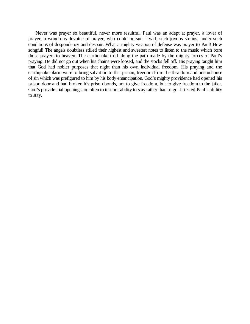Never was prayer so beautiful, never more resultful. Paul was an adept at prayer, a lover of prayer, a wondrous devotee of prayer, who could pursue it with such joyous strains, under such conditions of despondency and despair. What a mighty weapon of defense was prayer to Paul! How songful! The angels doubtless stilled their highest and sweetest notes to listen to the music which bore those prayers to heaven. The earthquake trod along the path made by the mighty forces of Paul's praying. He did not go out when his chains were loosed, and the stocks fell off. His praying taught him that God had nobler purposes that night than his own individual freedom. His praying and the earthquake alarm were to bring salvation to that prison, freedom from the thraldom and prison house of sin which was prefigured to him by his body emancipation. God's mighty providence had opened his prison door and had broken his prison bonds, not to give freedom, but to give freedom to the jailer. God's providential openings are often to test our ability to stay rather than to go. It tested Paul's ability to stay.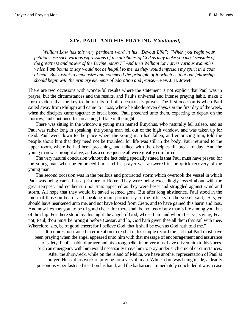#### **XIV. PAUL AND HIS PRAYING** *(Continued)*

*William Law has this very pertinent word in his "Devout Life": "When you begin your petitions use such various expressions of the attributes of God as may make you most sensible of the greatness and power of the Divine nature?´ And then William Law gives various examples, which I am bound to say would not be helpful to me, as they would imprison my spirit in a coat of mail. But I want to emphasize and commend the principle of it, which is, that our fellowship should begin with the primary elements of adoration and praise.—Rev. J. H. Jowett* 

There are two occasions with wonderful results where the statement is not explicit that Paul was in prayer, but the circumstances and the results, and Paul's universal and intense praying habit, make it most evident that the key to the results of both occasions is prayer. The first occasion is when Paul sailed away from Philippi and came to Troas, where he abode seven days. On the first day of the week, when the disciples came together to break bread, Paul preached unto them, expecting to depart on the morrow, and continued his preaching till late in the night.

There was sitting in the window a young man named Eutychus, who naturally fell asleep, and as Paul was rather long in speaking, the young man fell out of the high window, and was taken up for dead. Paul went down to the place where the young man had fallen, and embracing him, told the people about him that they need not be troubled, for life was still in the body. Paul returned to the upper room, where he had been preaching, and talked with the disciples till break of day. And the young man was brought alive, and as a consequence all were greatly comforted.

The very natural conclusion without the fact being specially stated is that Paul must have prayed for the young man when he embraced him, and his prayer was answered in the quick recovery of the young man.

The second occasion was in the perilous and protracted storm which overtook the vessel in which Paul was being carried as a prisoner to Rome. They were being exceedingly tossed about with the great tempest, and neither sun nor stars appeared as they were beset and struggled against wind and storm. All hope that they would be saved seemed gone. But after long abstinence, Paul stood in the midst of those on board, and speaking more particularly to the officers of the vessel, said, "Sirs, ye should have hearkened unto me, and not have loosed from Crete, and to have gained this harm and loss. And now I exhort you, to be of good cheer, for there shall be no loss of any man's life among you, but of the ship. For there stood by this night the angel of God, whose I am and whom I serve, saying, Fear not, Paul; thou must be brought before Caesar, and lo, God hath given thee all them that sail with thee. Wherefore, sirs, be of good cheer; for I believe God, that it shall be even as God hath told me."

It requires no strained interpretation to read into this simple record the fact that Paul must have been praying when the angel appeared unto him with that message of encouragement and assurance of safety. Paul's habit of prayer and his strong belief in prayer must have driven him to his knees. Such an emergency with him would necessarily move him to pray under such crucial circumstances. After the shipwreck, while on the island of Melita, we have another representation of Paul at prayer. He is at his work of praying for a very ill man. While a fire was being made, a deadly poisonous viper fastened itself on his hand, and the barbarians immediately concluded it was a case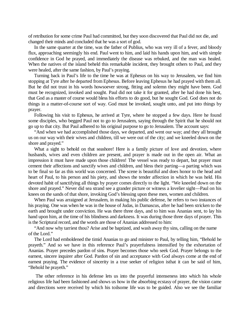of retribution for some crime Paul had committed, but they soon discovered that Paul did not die, and changed their minds and concluded that he was a sort of god.

In the same quarter at the time, was the father of Publius, who was very ill of a fever, and bloody flux, approaching seemingly his end. Paul went to him, and laid his hands upon him, and with simple confidence in God he prayed, and immediately the disease was rebuked, and the man was healed. When the natives of the island beheld this remarkable incident, they brought others to Paul, and they were healed, after the same fashion, by Paul's praying.

Turning back in Paul's life to the time he was at Ephesus on his way to Jerusalem, we find him stopping at Tyre after he departed from Ephesus. Before leaving Ephesus he had prayed with them all. But he did not trust in his words howsoever strong, fitting and solemn they might have been. God must be recognized, invoked and sought. Paul did not take it for granted, after he had done his best, that God as a master of course would bless his efforts to do good, but he sought God. God does not do things in a matter-of-course sort of way. God must be invoked, sought unto, and put into things by prayer.

Following his visit to Ephesus, he arrived at Tyre, where he stopped a few days. Here he found some disciples, who begged Paul not to go to Jerusalem, saying through the Spirit that he should not go up to that city. But Paul adhered to his original purpose to go to Jerusalem. The account says:

"And when we had accomplished those days, we departed, and went our way; and they all brought us on our way with their wives and children, till we were out of the city; and we kneeled down on the shore and prayed."

What a sight to behold on that seashore! Here is a family picture of love and devotion, where husbands, wives and even children are present, and prayer is made out in the open air. What an impression it must have made upon those children! The vessel was ready to depart, but prayer must cement their affections and sanctify wives and children, and bless their parting—a parting which was to be final so far as this world was concerned. The scene is beautiful and does honor to the head and heart of Paul, to his person and his piety, and shows the tender affection in which he was held. His devoted habit of sanctifying all things by prayer comes directly to the light. "We kneeled down on the shore and prayed." Never did sea strand see a grander picture or witness a lovelier sight—Paul on his knees on the sands of that shore, invoking God's blessing upon these men, women and children.

When Paul was arraigned at Jerusalem, in making his public defense, he refers to two instances of his praying. One was when he was in the house of Judas, in Damascus, after he had been stricken to the earth and brought under conviction. He was there three days, and to him was Ananias sent, to lay his hand upon him, at the time of his blindness and darkness. It was during those three days of prayer. This is the Scriptural record, and the words are those of Ananias addressed to him:

"And now why tarriest thou? Arise and be baptized, and wash away thy sins, calling on the name of the Lord."

The Lord had emboldened the timid Ananias to go and minister to Paul, by telling him, "Behold he prayeth." And so we have in this reference Paul's prayerfulness intensified by the exhortation of Ananias. Prayer precedes pardon of sins. Prayer becomes those who seek God. Prayer belongs to the earnest, sincere inquirer after God. Pardon of sin and acceptance with God always come at the end of earnest praying. The evidence of sincerity in a true seeker of religion isthat it can be said of him, "Behold he prayeth."

The other reference in his defense lets us into the prayerful intenseness into which his whole religious life had been fashioned and shows us how in the absorbing ecstasy of prayer, the vision came and directions were received by which his toilsome life was to be guided. Also we see the familiar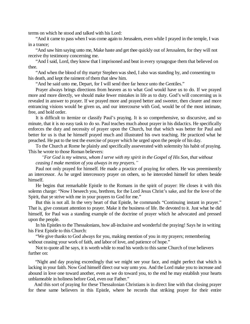terms on which he stood and talked with his Lord:

"And it came to pass when I was come again to Jerusalem, even while I prayed in the temple, I was in a trance;

"And saw him saying unto me, Make haste and get thee quickly out of Jerusalem, for they will not receive thy testimony concerning me.

"And I said, Lord, they know that I imprisoned and beat in every synagogue them that believed on thee.

"And when the blood of thy martyr Stephen was shed, I also was standing by, and consenting to his death, and kept the raiment of them that slew him.

"And he said unto me, Depart, for I will send thee far hence unto the Gentiles."

Prayer always brings directions from heaven as to what God would have us to do. If we prayed more and more directly, we should make fewer mistakes in life as to duty. God's will concerning us is revealed in answer to prayer. If we prayed more and prayed better and sweeter, then clearer and more entrancing visions would be given us, and our intercourse with God, would be of the most intimate, free, and bold order.

It is difficult to itemize or classify Paul's praying. It is so comprehensive, so discursive, and so minute, that it is no easy task to do so. Paul teaches much about prayer in his didactics. He specifically enforces the duty and necessity of prayer upon the Church, but that which was better for Paul and better for us is that he himself prayed much and illustrated his own teaching. He practiced what he preached. He put to the test the exercise of prayer which he urged upon the people of his day.

To the Church at Rome he plainly and specifically asseverated with solemnity his habit of praying. This he wrote to those Roman believers:

*³For God is my witness, whom I serve with my spirit in the Gospel of His Son, that without ceasing I make mention of you always in my prayers.´*

Paul not only prayed for himself. He made a practice of praying for others. He was preeminently an intercessor. As he urged intercessory prayer on others, so he interceded himself for others beside himself.

He begins that remarkable Epistle to the Romans in the spirit of prayer: He closes it with this solemn charge: "Now I beseech you, brethren, for the Lord Jesus Christ's sake, and for the love of the Spirit, that ye strive with me in your prayers to God for me."

But this is not all. In the very heart of that Epistle, he commands "Continuing instant in prayer." That is, give constant attention to prayer. Make it the business of life. Be devoted to it. Just what he did himself, for Paul was a standing example of the doctrine of prayer which he advocated and pressed upon the people.

In his Epistles to the Thessalonians, how all-inclusive and wonderful the praying! Says he in writing his First Epistle to this Church:

"We give thanks to God always for you, making mention of you in my prayers; remembering without ceasing your work of faith, and labor of love, and patience of hope."

Not to quote all he says, it is worth while to read his words to this same Church of true believers further on:

 "Night and day praying exceedingly that we might see your face, and might perfect that which is lacking in your faith. Now God himself direct our way unto you. And the Lord make you to increase and abound in love one toward another, even as we do toward you, to the end he may establish your hearts unblameable in holiness before God, even our Father."

And this sort of praying for these Thessalonian Christians is in direct line with that closing prayer for these same believers in this Epistle, where he records that striking prayer for their entire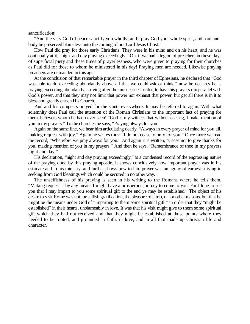sanctification:

"And the very God of peace sanctify you wholly; and I pray God your whole spirit, and soul and body be preserved blameless unto the coming of our Lord Jesus Christ."

How Paul did pray for those early Christians! They were in his mind and on his heart, and he was continually at it, "night and day praying exceedingly." Oh, if we had a legion of preachers in these days of superficial piety and these times of prayerlessness, who were given to praying for their churches as Paul did for those to whom he ministered in his day! Praying men are needed. Likewise praying preachers are demanded in this age.

At the conclusion of that remarkable prayer in the third chapter of Ephesians, he declared that "God was able to do exceeding abundantly above all that we could ask or think," now he declares he is praying exceeding abundantly, striving after the most earnest order, to have his prayers run parallel with God's power, and that they may not limit that power nor exhaust that power, but get all there is in it to bless and greatly enrich His Church.

Paul and his compeers prayed for the saints everywhere. It may be referred to again. With what solemnity does Paul call the attention of the Roman Christians to the important fact of praying for them, believers whom he had never seen! "God is my witness that without ceasing, I make mention of you in my prayers." To the churches he says, "Praying always for you."

Again on the same line, we hear him articulating dearly, "Always in every prayer of mine for you all, making request with joy." Again he writes thus: "I do not cease to pray for you." Once more we read the record, "Wherefore we pray always for you." And again it is written, "Cease not to give thanks for you, making mention of you in my prayers." And then he says, "Remembrance of thee in my prayers night and day."

His declaration, "night and day praying exceedingly," is a condensed record of the engrossing nature of the praying done by this praying apostle. It shows conclusively how important prayer was in his estimate and in his ministry, and further shows how to him prayer was an agony of earnest striving in seeking from God blessings which could be secured in no other way.

The unselfishness of his praying is seen in his writing to the Romans where he tells them, "Making request if by any means I might have a prosperous journey to come to you. For I long to see you that I may impart to you some spiritual gift to the end ye may be established." The object of his desire to visit Rome was not for selfish gratification, the pleasure of a trip, or for other reasons, but that he might be the means under God of "imparting to them some spiritual gift," in order that they "might be established" in their hearts, unblameably in love. It was that his visit might give to them some spiritual gift which they had not received and that they might be established at those points where they needed to be rooted, and grounded in faith, in love, and in all that made up Christian life and character.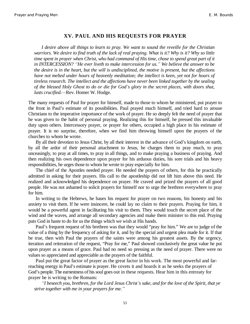#### **XV. PAUL AND HIS REQUESTS FOR PRAYER**

*I desire above all things to learn to pray. We want to sound the reveille for the Christian warriors. We desire to find truth of the lack of real praying. What is it? Why is it? Why so little time spent in prayer when Christ, who had command of His time, chose to spend great part of it in INTERCESSION? ³He ever liveth to make intercession for us.´ We believe the answer to be the desire is in the heart, but the will is undisciplined, the motive is present, but the affections have not melted under hours of heavenly meditation; the intellect is keen, yet not for hours of tireless research. The intellect and the affections have never been linked together by the sealing of the blessed Holy Ghost to do or die for God¶s glory in the secret places, with doors shut, lusts crucified.*—Rev. Homer W. Hodge.

The many requests of Paul for prayer for himself, made to those to whom he ministered, put prayer to the front in Paul's estimate of its possibilities. Paul prayed much himself, and tried hard to arouse Christians to the imperative importance of the work of prayer. He so deeply felt the need of prayer that he was given to the habit of personal praying. Realizing this for himself, he pressed this invaluable duty upon others. Intercessory prayer, or prayer for others, occupied a high place in his estimate of prayer. It is no surprise, therefore, when we find him throwing himself upon the prayers of the churches to whom he wrote.

By all their devotion to Jesus Christ, by all their interest in the advance of God's kingdom on earth, by all the ardor of their personal attachment to Jesus, he charges them to pray much, to pray unceasingly, to pray at all times, to pray in all things, and to make praying a business of praying. And then realizing his own dependence upon prayer for his arduous duties, his sore trials and his heavy responsibilities, he urges those to whom he wrote to pray especially for him.

The chief of the Apostles needed prayer. He needed the prayers of others, for this he practically admitted in asking for their prayers. His call to the apostleship did not lift him above this need. He realized and acknowledged his dependence on prayer. He craved and prized the prayers of all good people. He was not ashamed to solicit prayers for himself nor to urge the brethren everywhere to pray for him.

In writing to the Hebrews, he bases his request for prayer on two reasons, his honesty and his anxiety to visit them. If he were insincere, he could lay no claim to their prayers. Praying for him, it would be a powerful agent in facilitating his visit to them. They would touch the secret place of the wind and the waves, and arrange all secondary agencies and make them minister to this end. Praying puts God in haste to do for us the things which we wish at His hands.

Paul's frequent request of his brethren was that they would "pray for him." We are to judge of the value of a thing by the frequency of asking for it, and by the special and urgent plea made for it. If that be true, then with Paul the prayers of the saints were among his greatest assets. By the urgency, iteration and reiteration of the request, "Pray for me," Paul showed conclusively the great value he put upon prayer as a means of grace. Paul had no need so pressing as the need of prayer. There were no values so appreciated and appreciable as the prayers of the faithful.

Paul put the great factor of prayer as the great factor in his work. The most powerful and farreaching energy in Paul's estimate is prayer. He covets it and hoards it as he seeks the prayers of God's people. The earnestness of his soul goes out in these requests. Hear him in this entreaty for prayer he is writing to the Romans:

*³I beseech you, brethren, for the Lord Jesus Christ¶s sake, and for the love of the Spirit, that ye strive together with me in your prayers for me.´*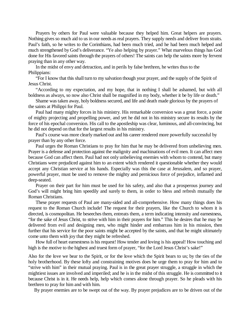Prayers by others for Paul were valuable because they helped him. Great helpers are prayers. Nothing gives so much aid to us in our needs as real prayers. They supply needs and deliver from straits. Paul's faith, so he writes to the Corinthians, had been much tried, and he had been much helped and much strengthened by God's deliverance. "Ye also helping by prayer." What marvelous things has God done for His favored saints through the prayers of others! The saints can help the saints more by fervent praying than in any other way.

In the midst of envy and detraction, and in perils by false brethren, he writes thus to the Philippians:

"For I know that this shall turn to my salvation though your prayer, and the supply of the Spirit of Jesus Christ.

"According to my expectation, and my hope, that in nothing I shall be ashamed, but with all boldness as always, so now also Christ shall be magnified in my body, whether it be by life or death."

Shame was taken away, holy boldness secured, and life and death made glorious by the prayers of the saints at Philippi for Paul.

Paul had many mighty forces in his ministry. His remarkable conversion was a great force, a point of mighty projecting and propelling power, and yet he did not in his ministry secure its results by the force of his epochal conversion. His call to the apostleship was clear, luminous, and all-convincing, but he did not depend on that for the largest results in his ministry.

Paul's course was more clearly marked out and his career rendered more powerfully successful by prayer than by any other force.

Paul urges the Roman Christians to pray for him that he may be delivered from unbelieving men. Prayer is a defense and protection against the malignity and machinations of evil men. It can affect men because God can affect them. Paul had not only unbelieving enemies with whom to contend, but many Christians were prejudiced against him to an extent which rendered it questionable whether they would accept any Christian service at his hands. Especially was this the case at Jerusalem, and so prayer, powerful prayer, must be used to remove the mighty and pernicious force of prejudice, inflamed and deep-seated.

Prayer on their part for him must be used for his safety, and also that a prosperous journey and God's will might bring him speedily and surely to them, in order to bless and refresh mutually the Roman Christians.

These prayer requests of Paul are many-sided and all-comprehensive. How many things does his request to the Roman Church include! The request for their prayers, like the Church to whom it is directed, is cosmopolitan. He beseeches them, entreats them, a term indicating intensity and earnestness, "for the sake of Jesus Christ, to strive with him in their prayers for him." This he desires that he may be delivered from evil and designing men, who might hinder and embarrass him in his mission, then further that his service for the poor saints might be accepted by the saints, and that he might ultimately come unto them with joy that they might be refreshed.

How full of heart earnestness is his request! How tender and loving is his appeal! How touching and high is the motive to the highest and truest form of prayer, "for the Lord Jesus Christ's sake!"

Also for the love we bear to the Spirit, or for the love which the Spirit bears to us; by the ties of the holy brotherhood. By these lofty and constraining motives does he urge them to pray for him and to "strive with him" in their mutual praying. Paul is in the great prayer struggle, a struggle in which the mightiest issues are involved and imperiled; and he is in the midst of this struggle. He is committed to it because Christ is in it. He needs help, help which comes alone through prayer. So he pleads with his brethren to pray for him and with him.

By prayer enemies are to be swept out of the way. By prayer prejudices are to be driven out of the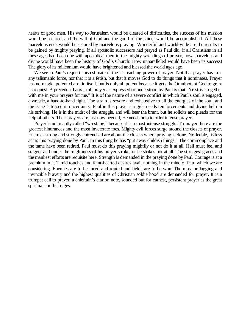hearts of good men. His way to Jerusalem would be cleared of difficulties, the success of his mission would be secured, and the will of God and the good of the saints would be accomplished. All these marvelous ends would be secured by marvelous praying. Wonderful and world-wide are the results to be gained by mighty praying. If all apostolic successors had prayed as Paul did, if all Christians in all these ages had been one with apostolical men in the mighty wrestlings of prayer, how marvelous and divine would have been the history of God's Church! How unparalleled would have been its success! The glory of its millennium would have brightened and blessed the world ages ago.

We see in Paul's requests his estimate of the far-reaching power of prayer. Not that prayer has in it any talismanic force, nor that it is a fetish, but that it moves God to do things that it nominates. Prayer has no magic, potent charm in itself, but is only all potent because it gets the Omnipotent God to grant its request. A precedent basis in all prayer as expressed or understood by Paul is that "Ye strive together with me in your prayers for me." It is of the nature of a severe conflict in which Paul's soul is engaged, a wrestle, a hand-to-hand fight. The strain is severe and exhaustive to all the energies of the soul, and the issue is tossed in uncertainty. Paul in this prayer struggle needs reinforcements and divine help in his striving. He is in the midst of the struggle, and will bear the brunt, but he solicits and pleads for the help of others. Their prayers are just now needed, He needs help to offer intense prayers.

Prayer is not inaptly called "wrestling," because it is a most intense struggle. To prayer there are the greatest hindrances and the most inveterate foes. Mighty evil forces surge around the closets of prayer. Enemies strong and strongly entrenched are about the closets where praying is done. No feeble, listless act is this praying done by Paul. In this thing he has "put away childish things." The commonplace and the tame have been retired. Paul must do this praying mightily or not do it at all. Hell must feel and stagger and under the mightiness of his prayer stroke, or he strikes not at all. The strongest graces and the manliest efforts are requisite here. Strength is demanded in the praying done by Paul. Courage is at a premium in it. Timid touches and faint-hearted desires avail nothing in the mind of Paul which we are considering. Enemies are to be faced and routed and fields are to be won. The most unflagging and invincible bravery and the highest qualities of Christian soldierhood are demanded for prayer. It is a trumpet call to prayer, a chieftain's clarion note, sounded out for earnest, persistent prayer as the great spiritual conflict rages.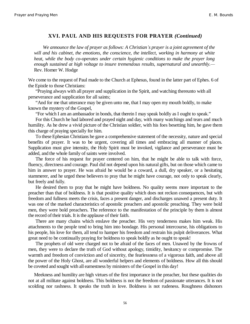#### **XVI. PAUL AND HIS REQUESTS FOR PRAYER** *(Continued)*

*We announce the law of prayer as follows: A Christian¶s prayer is a joint agreement of the will and his cabinet, the emotions, the conscience, the intellect, working in harmony at white heat, while the body co-operates under certain hygienic conditions to make the prayer long enough sustained at high voltage to insure tremendous results, supernatural and unearthly.*— Rev. Homer W. Hodge

We come to the request of Paul made to the Church at Ephesus, found in the latter part of Ephes. 6 of the Epistle to those Christians:

"Praying always with all prayer and supplication in the Spirit, and watching thereunto with all perseverance and supplication for all saints;

"And for me that utterance may be given unto me, that I may open my mouth boldly, to make known the mystery of the Gospel,

"For which I am an ambassador in bonds, that therein I may speak boldly as I ought to speak."

For this Church he had labored and prayed night and day, with many watchings and tears and much humility. As he drew a vivid picture of the Christian soldier, with his foes besetting him, he gave them this charge of praying specially for him.

To these Ephesian Christians he gave a comprehensive statement of the necessity, nature and special benefits of prayer. It was to be urgent, covering all times and embracing all manner of places. Supplication must give intensity, the Holy Spirit must be invoked, vigilance and perseverance must be added, and the whole family of saints were involved.

The force of his request for prayer centered on him, that he might be able to talk with force, fluency, directness and courage. Paul did not depend upon his natural gifts, but on those which came to him in answer to prayer. He was afraid he would be a coward, a dull, dry speaker, or a hesitating stammerer, and he urged these believers to pray that he might have courage, not only to speak clearly, but freely and fully.

He desired them to pray that he might have boldness. No quality seems more important to the preacher than that of boldness. It is that positive quality which does not reckon consequences, but with freedom and fullness meets the crisis, faces a present danger, and discharges unawed a present duty. It was one of the marked characteristics of apostolic preachers and apostolic preaching. They were bold men, they were bold preachers. The reference to the manifestation of the principle by them is almost the record of their trials. It is the applause of their faith.

There are many chains which enslave the preacher. His very tenderness makes him weak. His attachments to the people tend to bring him into bondage. His personal intercourse, his obligations to his people, his love for them, all tend to hamper his freedom and restrain his pulpit deliverances. What great need to be continually praying for boldness to speak boldly as he ought to speak!

The prophets of old were charged not to be afraid of the faces of men. Unawed by the frowns of men, they were to declare the truth of God without apology, timidity, hesitancy or compromise. The warmth and freedom of conviction and of sincerity, the fearlessness of a vigorous faith, and above all the power of the Holy Ghost, are all wonderful helpers and elements of boldness. How all this should be coveted and sought with all earnestness by ministers of the Gospel in this day!

Meekness and humility are high virtues of the first importance in the preacher, but these qualities do not at all militate against boldness. This boldness is not the freedom of passionate utterances. It is not scolding nor rashness. It speaks the truth in love. Boldness is not rudeness. Roughness dishonors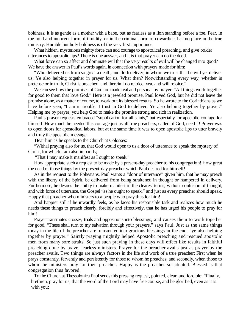boldness. It is as gentle as a mother with a babe, but as fearless as a lion standing before a foe. Fear, in the mild and innocent form of timidity, or in the criminal form of cowardice, has no place in the true ministry. Humble but holy boldness is of the very first importance.

What hidden, mysterious mighty force can add courage to apostolical preaching, and give bolder utterances to apostolic lips? There is one answer, and it is that prayer can do the deed.

What force can so affect and dominate evil that the very results of evil will be changed into good? We have the answer in Paul's words again, in connection with prayers made for him:

"Who delivered us from so great a death, and doth deliver; in whom we trust that he will yet deliver us; Ye also helping together in prayer for us. What then? Notwithstanding every way, whether in pretense or in truth, Christ is preached, and therein I do rejoice, yea, and will rejoice."

We can see how the promises of God are made real and personal by prayer. "All things work together for good to them that love God." Here is a jeweled promise. Paul loved God, but he did not leave the promise alone, as a matter of course, to work out its blessed results. So he wrote to the Corinthians as we have before seen, "I am in trouble. I trust in God to deliver. Ye also helping together by prayer." Helping me by prayer, you help God to make the promise strong and rich in realization.

Paul's prayer requests embraced "supplication for all saints," but especially for apostolic courage for himself. How much he needed this courage just as all true preachers, called of God, need it! Prayer was to open doors for apostolical labors, but at the same time it was to open apostolic lips to utter bravely and truly the apostolic message.

Hear him as he speaks to the Church at Colosses:

"Withal praying also for us, that God would open to us a door of utterance to speak the mystery of Christ, for which I am also in bonds;

"That I may make it manifest as I ought to speak."

How appropriate such a request to be made by a present-day preacher to his congregation! How great the need of those things by the present-day preacher which Paul desired for himself!

As in the request to the Ephesians, Paul wants a "door of utterance" given him, that he may preach with the liberty of the Spirit, be delivered from being straitened in thought or hampered in delivery. Furthermore, he desires the ability to make manifest in the clearest terms, without confusion of thought, and with force of utterance, the Gospel "as he ought to speak," and just as every preacher should speak. Happy that preacher who ministers to a people who pray thus for him!

And happier still if he inwardly feels, as he faces his responsible task and realizes how much he needs these things to preach clearly, forcibly and effectively, that he has urged his people to pray for him!

Prayer transmutes crosses, trials and oppositions into blessings, and causes them to work together for good. "These shall turn to my salvation through your prayers," says Paul. Just as the same things today in the life of the preacher are transmuted into gracious blessings in the end, "ye also helping together by prayer." Saintly praying mightily helped Apostolic preaching and rescued apostolic men from many sore straits. So just such praying in these days will effect like results in faithful preaching done by brave, fearless ministers. Prayer for the preacher avails just as prayer by the preacher avails. Two things are always factors in the life and work of a true preacher: First when he prays constantly, fervently and persistently for those to whom he preaches; and secondly, when those to whom he ministers pray for their preacher. Happy is the preacher so situated. Blessed is that congregation thus favored.

To the Church at Thessalonica Paul sends this pressing request, pointed, clear, and forcible: "Finally, brethren, pray for us, that the word of the Lord may have free course, and be glorified, even as it is with you;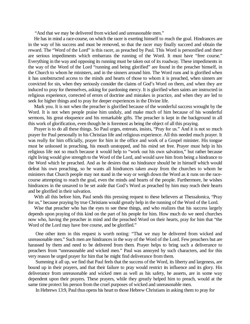"And that we may be delivered from wicked and unreasonable men."

He has in mind a race-course, on which the racer is exerting himself to reach the goal. Hindrances are in the way of his success and must be removed, so that the racer may finally succeed and obtain the reward. The "Word of the Lord" is this racer, as preached by Paul. This Word is personified and there are serious impediments which embarrass the running of the Word. It must have "free course." Everything in the way and opposing its running must be taken out of its roadway. These impediments in the way of the Word of the Lord "running and being glorified" are found in the preacher himself, in the Church to whom he ministers, and in the sinners around him. The Word runs and is glorified when it has unobstructed access to the minds and hearts of those to whom it is preached, when sinners are convicted for sin, when they seriously consider the claims of God's Word on them, and when they are induced to pray for themselves, asking for pardoning mercy. It is glorified when saints are instructed in religious experience, corrected of errors of doctrine and mistakes in practice, and when they are led to seek for higher things and to pray for deeper experiences in the Divine life.

Mark you. It is not when the preacher is glorified because of the wonderful success wrought by the Word. It is not when people praise him unduly, and make much of him because of his wonderful sermons, his great eloquence and his remarkable gifts. The preacher is kept in the background in all this work of glorification, even though he is foremost as being the object of all this praying.

Prayer is to do all these things. So Paul urges, entreats, insists, "Pray for us." And it is not so much prayer for Paul personally in his Christian life and religious experience. All this needed much prayer. It was really for him officially, prayer for him in the office and work of a Gospel minister. His tongue must be unloosed in preaching, his mouth unstopped, and his mind set free. Prayer must help in his religious life not so much because it would help to "work out his own salvation," but rather because right living would give strength to the Word of the Lord, and would save him from being a hindrance to the Word which he preached. And as he desires that no hindrance should be in himself which would defeat his own preaching, so he wants all hindrances taken away from the churches to whom he ministers that Church people may not stand in the way or weigh down the Word as it runs on the racecourse attempting to reach the goal, even the minds and hearts of the people. Furthermore, he wishes hindrances in the unsaved to be set aside that God's Word as preached by him may reach their hearts and be glorified in their salvation.

With all this before him, Paul sends this pressing request to these believers at Thessalonica, "Pray for us," because praying by true Christians would greatly help in the running of the Word of the Lord.

Wise that preacher who has the eyes to see these things, and who realizes that his success largely depends upon praying of this kind on the part of his people for him. How much do we need churches now who, having the preacher in mind and the preached Word on their hearts, pray for him that "the Word of the Lord may have free course, and be glorified."

One other item in this request is worth noting: "That we may be delivered from wicked and unreasonable men." Such men are hindrances in the way of the Word of the Lord. Few preachers but are harassed by them and need to be delivered from them. Prayer helps to bring such a deliverance to preachers from "unreasonable and wicked men." Paul was annoyed by such characters, and for this very reason he urged prayer for him that he might find deliverance from them.

Summing it all up, we find that Paul feels that the success of the Word, its liberty and largeness, are bound up in their prayers, and that their failure to pray would restrict its influence and its glory. His deliverance from unreasonable and wicked men as well as his safety, he asserts, are in some way dependent upon their prayers. These prayers, while they greatly helped him to preach, would at the same time protect his person from the cruel purposes of wicked and unreasonable men.

In Hebrews 13:9, Paul thus opens his heart to those Hebrew Christians in asking them to pray for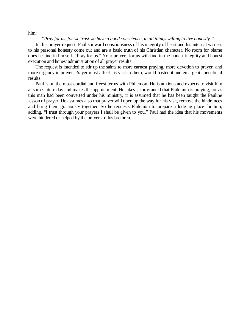him:

#### *³Pray for us, for we trust we have a good conscience, in all things willing to live honestly.´*

In this prayer request, Paul's inward consciousness of his integrity of heart and his internal witness to his personal honesty come out and are a basic truth of his Christian character. No room for blame does he find in himself. "Pray for us." Your prayers for us will find in me honest integrity and honest execution and honest administration of all prayer results.

The request is intended to stir up the saints to more earnest praying, more devotion to prayer, and more urgency in prayer. Prayer must affect his visit to them, would hasten it and enlarge its beneficial results.

Paul is on the most cordial and freest terms with Philemon. He is anxious and expects to visit him at some future day and makes the appointment. He takes it for granted that Philemon is praying, for as this man had been converted under his ministry, it is assumed that he has been taught the Pauline lesson of prayer. He assumes also that prayer will open up the way for his visit, remove the hindrances and bring them graciously together. So he requests Philemon to prepare a lodging place for him, adding, "I trust through your prayers I shall be given to you." Paul had the idea that his movements were hindered or helped by the prayers of his brethren.